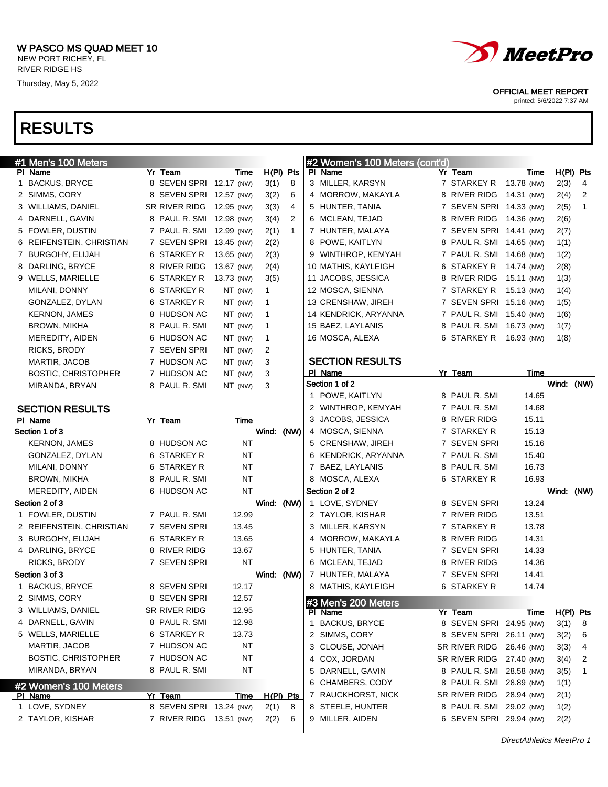

OFFICIAL MEET REPORT

printed: 5/6/2022 7:37 AM

### RESULTS

| #1 Men's 100 Meters              |                                    |             |                |              |   | #2 Women's 100 Meters (cont'd)        |                          |             |             |   |
|----------------------------------|------------------------------------|-------------|----------------|--------------|---|---------------------------------------|--------------------------|-------------|-------------|---|
| PI Name                          | Yr Team                            | Time        |                | $H(PI)$ Pts  |   | PI Name                               | Yr Team                  | Time        | $H(PI)$ Pts |   |
| 1 BACKUS, BRYCE                  | 8 SEVEN SPRI 12.17 (NW)            |             | 3(1)           | 8            |   | 3 MILLER, KARSYN                      | 7 STARKEY R              | 13.78 (NW)  | 2(3)        | 4 |
| 2 SIMMS, CORY                    | 8 SEVEN SPRI 12.57 (NW)            |             | 3(2)           | 6            |   | 4 MORROW, MAKAYLA                     | 8 RIVER RIDG 14.31 (NW)  |             | 2(4)        | 2 |
| 3 WILLIAMS, DANIEL               | SR RIVER RIDG                      | 12.95 (NW)  | 3(3)           | 4            |   | 5 HUNTER, TANIA                       | 7 SEVEN SPRI 14.33 (NW)  |             | 2(5)        | 1 |
| 4 DARNELL, GAVIN                 | 8 PAUL R. SMI 12.98 (NW)           |             | 3(4)           | 2            |   | 6 MCLEAN, TEJAD                       | 8 RIVER RIDG 14.36 (NW)  |             | 2(6)        |   |
| 5 FOWLER, DUSTIN                 | 7 PAUL R. SMI 12.99 (NW)           |             | 2(1)           | $\mathbf{1}$ |   | 7 HUNTER, MALAYA                      | 7 SEVEN SPRI 14.41 (NW)  |             | 2(7)        |   |
| 6 REIFENSTEIN, CHRISTIAN         | 7 SEVEN SPRI 13.45 (NW)            |             | 2(2)           |              |   | 8 POWE, KAITLYN                       | 8 PAUL R. SMI 14.65 (NW) |             | 1(1)        |   |
| 7 BURGOHY, ELIJAH                | 6 STARKEY R                        | 13.65 (NW)  | 2(3)           |              |   | 9 WINTHROP, KEMYAH                    | 7 PAUL R. SMI 14.68 (NW) |             | 1(2)        |   |
| 8 DARLING, BRYCE                 | 8 RIVER RIDG                       | 13.67 (NW)  | 2(4)           |              |   | 10 MATHIS, KAYLEIGH                   | 6 STARKEY R 14.74 (NW)   |             | 2(8)        |   |
| 9 WELLS, MARIELLE                | 6 STARKEY R                        | 13.73 (NW)  | 3(5)           |              |   | 11 JACOBS, JESSICA                    | 8 RIVER RIDG 15.11 (NW)  |             | 1(3)        |   |
| MILANI, DONNY                    | 6 STARKEY R                        | NT (NW)     | $\mathbf{1}$   |              |   | 12 MOSCA, SIENNA                      | 7 STARKEY R 15.13 (NW)   |             | 1(4)        |   |
| GONZALEZ, DYLAN                  | 6 STARKEY R                        | NT (NW)     | $\mathbf{1}$   |              |   | 13 CRENSHAW, JIREH                    | 7 SEVEN SPRI 15.16 (NW)  |             | 1(5)        |   |
| <b>KERNON, JAMES</b>             | 8 HUDSON AC                        | NT (NW)     | $\mathbf{1}$   |              |   | 14 KENDRICK, ARYANNA                  | 7 PAUL R. SMI 15.40 (NW) |             | 1(6)        |   |
| BROWN, MIKHA                     | 8 PAUL R. SMI                      | NT (NW)     | $\mathbf{1}$   |              |   | 15 BAEZ, LAYLANIS                     | 8 PAUL R. SMI 16.73 (NW) |             | 1(7)        |   |
| MEREDITY, AIDEN                  | 6 HUDSON AC                        | NT (NW)     | $\mathbf{1}$   |              |   | 16 MOSCA, ALEXA                       | 6 STARKEY R 16.93 (NW)   |             | 1(8)        |   |
| RICKS, BRODY                     | 7 SEVEN SPRI                       | NT (NW)     | $\overline{2}$ |              |   |                                       |                          |             |             |   |
| MARTIR, JACOB                    | 7 HUDSON AC                        | NT (NW)     | 3              |              |   | <b>SECTION RESULTS</b>                |                          |             |             |   |
| <b>BOSTIC, CHRISTOPHER</b>       | 7 HUDSON AC                        | NT (NW)     | 3              |              |   | PI Name                               | Yr Team                  | Time        |             |   |
| MIRANDA, BRYAN                   | 8 PAUL R. SMI                      | NT (NW)     | 3              |              |   | Section 1 of 2                        |                          |             | Wind: (NW)  |   |
|                                  |                                    |             |                |              |   | 1 POWE, KAITLYN                       | 8 PAUL R. SMI            | 14.65       |             |   |
| <b>SECTION RESULTS</b>           |                                    |             |                |              |   | 2 WINTHROP, KEMYAH                    | 7 PAUL R. SMI            | 14.68       |             |   |
| PI Name                          | Yr Team                            | Time        |                |              |   | 3 JACOBS, JESSICA                     | 8 RIVER RIDG             | 15.11       |             |   |
| Section 1 of 3                   |                                    |             | Wind: (NW)     |              |   | 4 MOSCA, SIENNA                       | 7 STARKEY R              | 15.13       |             |   |
| <b>KERNON, JAMES</b>             | 8 HUDSON AC                        | <b>NT</b>   |                |              |   | 5 CRENSHAW, JIREH                     | 7 SEVEN SPRI             | 15.16       |             |   |
| GONZALEZ, DYLAN                  | 6 STARKEY R                        | <b>NT</b>   |                |              |   | 6 KENDRICK, ARYANNA                   | 7 PAUL R. SMI            | 15.40       |             |   |
| MILANI, DONNY                    | 6 STARKEY R                        | <b>NT</b>   |                |              |   | 7 BAEZ, LAYLANIS                      | 8 PAUL R. SMI            | 16.73       |             |   |
| BROWN, MIKHA                     | 8 PAUL R. SMI                      | <b>NT</b>   |                |              |   | 8 MOSCA, ALEXA                        | 6 STARKEY R              | 16.93       |             |   |
| MEREDITY, AIDEN                  | 6 HUDSON AC                        | ΝT          |                |              |   | Section 2 of 2                        |                          |             | Wind: (NW)  |   |
| Section 2 of 3                   |                                    |             | Wind: (NW)     |              |   | 1 LOVE, SYDNEY                        | 8 SEVEN SPRI             | 13.24       |             |   |
| 1 FOWLER, DUSTIN                 | 7 PAUL R. SMI                      | 12.99       |                |              |   | 2 TAYLOR, KISHAR                      | 7 RIVER RIDG             | 13.51       |             |   |
| 2 REIFENSTEIN, CHRISTIAN         | 7 SEVEN SPRI                       | 13.45       |                |              |   | 3 MILLER, KARSYN                      | 7 STARKEY R              | 13.78       |             |   |
| 3 BURGOHY, ELIJAH                | 6 STARKEY R                        | 13.65       |                |              |   | 4 MORROW, MAKAYLA                     | 8 RIVER RIDG             | 14.31       |             |   |
| 4 DARLING, BRYCE                 | 8 RIVER RIDG                       | 13.67       |                |              |   | 5 HUNTER, TANIA                       | 7 SEVEN SPRI             | 14.33       |             |   |
| RICKS, BRODY                     | 7 SEVEN SPRI                       | ΝT          |                |              |   | 6 MCLEAN, TEJAD                       | 8 RIVER RIDG             | 14.36       |             |   |
| Section 3 of 3                   |                                    |             | Wind: (NW)     |              |   | 7 HUNTER, MALAYA                      | 7 SEVEN SPRI             | 14.41       |             |   |
| 1 BACKUS, BRYCE                  | 8 SEVEN SPRI                       | 12.17       |                |              |   | 8 MATHIS, KAYLEIGH                    | 6 STARKEY R              | 14.74       |             |   |
| 2 SIMMS, CORY                    | 8 SEVEN SPRI                       | 12.57       |                |              |   |                                       |                          |             |             |   |
| 3 WILLIAMS, DANIEL               | SR RIVER RIDG                      | 12.95       |                |              |   | #3 Men's 200 Meters<br><b>PI</b> Name | Yr Team                  | <u>Time</u> | H(PI) Pts   |   |
| 4 DARNELL, GAVIN                 | 8 PAUL R. SMI                      | 12.98       |                |              | 1 | <b>BACKUS, BRYCE</b>                  | 8 SEVEN SPRI 24.95 (NW)  |             | 3(1)        | 8 |
| 5 WELLS, MARIELLE                | 6 STARKEY R                        | 13.73       |                |              |   | 2 SIMMS, CORY                         | 8 SEVEN SPRI 26.11 (NW)  |             | 3(2)        | 6 |
| MARTIR, JACOB                    | 7 HUDSON AC                        | NT          |                |              |   | 3 CLOUSE, JONAH                       | SR RIVER RIDG 26.46 (NW) |             | 3(3)        | 4 |
| <b>BOSTIC, CHRISTOPHER</b>       | 7 HUDSON AC                        | NT          |                |              |   | 4 COX, JORDAN                         | SR RIVER RIDG 27.40 (NW) |             | 3(4)        | 2 |
| MIRANDA, BRYAN                   | 8 PAUL R. SMI                      | NT          |                |              |   | 5 DARNELL, GAVIN                      | 8 PAUL R. SMI 28.58 (NW) |             | 3(5)        | 1 |
|                                  |                                    |             |                |              |   | 6 CHAMBERS, CODY                      | 8 PAUL R. SMI 28.89 (NW) |             | 1(1)        |   |
| #2 Women's 100 Meters            |                                    |             |                |              |   | 7 RAUCKHORST, NICK                    | SR RIVER RIDG            | 28.94 (NW)  |             |   |
| <b>PI Name</b><br>1 LOVE, SYDNEY | Yr Team<br>8 SEVEN SPRI 13.24 (NW) | <b>Time</b> |                | H(PI) Pts    |   | 8 STEELE, HUNTER                      | 8 PAUL R. SMI 29.02 (NW) |             | 2(1)        |   |
|                                  | 7 RIVER RIDG 13.51 (NW)            |             | 2(1)           | 8            |   |                                       |                          |             | 1(2)        |   |
| 2 TAYLOR, KISHAR                 |                                    |             | 2(2)           | 6            |   | 9 MILLER, AIDEN                       | 6 SEVEN SPRI 29.94 (NW)  |             | 2(2)        |   |

DirectAthletics MeetPro 1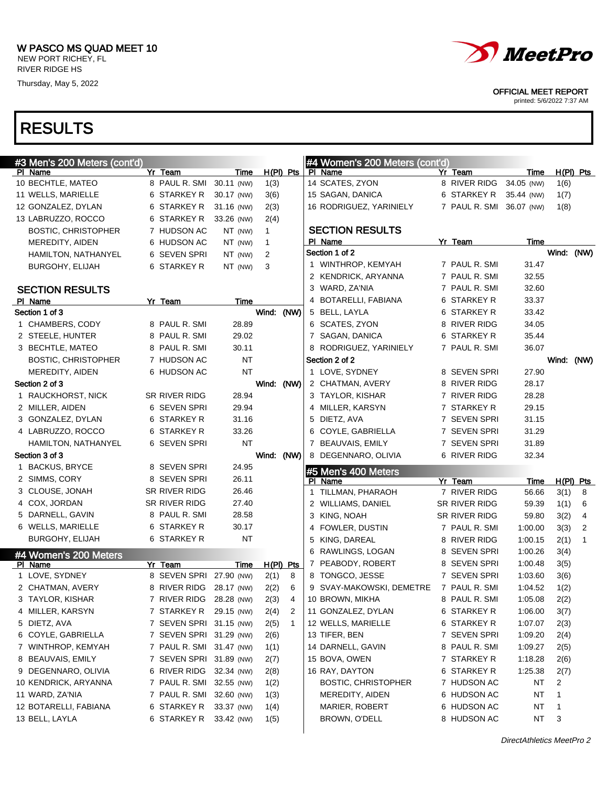

#### OFFICIAL MEET REPORT

printed: 5/6/2022 7:37 AM

| #3 Men's 200 Meters (cont'd)     |                          |            |              |              |   | #4 Women's 200 Meters (cont'd) |                          |             |              |                |
|----------------------------------|--------------------------|------------|--------------|--------------|---|--------------------------------|--------------------------|-------------|--------------|----------------|
| PI Name                          | Yr Team                  | Time       | $H(PI)$ Pts  |              |   | PI Name                        | Yr Team                  | Time        |              | $H(PI)$ Pts    |
| 10 BECHTLE, MATEO                | 8 PAUL R. SMI            | 30.11 (NW) | 1(3)         |              |   | 14 SCATES, ZYON                | 8 RIVER RIDG             | 34.05 (NW)  | 1(6)         |                |
| 11 WELLS, MARIELLE               | 6 STARKEY R              | 30.17 (NW) | 3(6)         |              |   | 15 SAGAN, DANICA               | 6 STARKEY R              | 35.44 (NW)  | 1(7)         |                |
| 12 GONZALEZ, DYLAN               | 6 STARKEY R              | 31.16 (NW) | 2(3)         |              |   | 16 RODRIGUEZ, YARINIELY        | 7 PAUL R. SMI 36.07 (NW) |             | 1(8)         |                |
| 13 LABRUZZO, ROCCO               | 6 STARKEY R              | 33.26 (NW) | 2(4)         |              |   |                                |                          |             |              |                |
| <b>BOSTIC, CHRISTOPHER</b>       | 7 HUDSON AC              | NT (NW)    | $\mathbf{1}$ |              |   | <b>SECTION RESULTS</b>         |                          |             |              |                |
| MEREDITY, AIDEN                  | 6 HUDSON AC              | NT (NW)    | $\mathbf{1}$ |              |   | PI Name                        | Yr Team                  | Time        |              |                |
| HAMILTON, NATHANYEL              | 6 SEVEN SPRI             | NT (NW)    | 2            |              |   | Section 1 of 2                 |                          |             | Wind:        | (NW)           |
| BURGOHY, ELIJAH                  | 6 STARKEY R              | NT (NW)    | 3            |              |   | 1 WINTHROP, KEMYAH             | 7 PAUL R. SMI            | 31.47       |              |                |
|                                  |                          |            |              |              |   | 2 KENDRICK, ARYANNA            | 7 PAUL R. SMI            | 32.55       |              |                |
| <b>SECTION RESULTS</b>           |                          |            |              |              |   | 3 WARD, ZA'NIA                 | 7 PAUL R. SMI            | 32.60       |              |                |
| PI Name                          | Yr Team                  | Time       |              |              | 4 | BOTARELLI, FABIANA             | 6 STARKEY R              | 33.37       |              |                |
| Section 1 of 3                   |                          |            | Wind: (NW)   |              |   | 5 BELL, LAYLA                  | 6 STARKEY R              | 33.42       |              |                |
| 1 CHAMBERS, CODY                 | 8 PAUL R. SMI            | 28.89      |              |              |   | 6 SCATES, ZYON                 | 8 RIVER RIDG             | 34.05       |              |                |
| 2 STEELE, HUNTER                 | 8 PAUL R. SMI            | 29.02      |              |              |   | 7 SAGAN, DANICA                | 6 STARKEY R              | 35.44       |              |                |
| 3 BECHTLE, MATEO                 | 8 PAUL R. SMI            | 30.11      |              |              |   | 8 RODRIGUEZ, YARINIELY         | 7 PAUL R. SMI            | 36.07       |              |                |
| <b>BOSTIC, CHRISTOPHER</b>       | 7 HUDSON AC              | NT         |              |              |   | Section 2 of 2                 |                          |             |              | Wind: (NW)     |
| MEREDITY, AIDEN                  | 6 HUDSON AC              | <b>NT</b>  |              |              |   | 1 LOVE, SYDNEY                 | 8 SEVEN SPRI             | 27.90       |              |                |
| Section 2 of 3                   |                          |            | Wind: (NW)   |              |   | 2 CHATMAN, AVERY               | 8 RIVER RIDG             | 28.17       |              |                |
| 1 RAUCKHORST, NICK               | SR RIVER RIDG            | 28.94      |              |              |   | 3 TAYLOR, KISHAR               | 7 RIVER RIDG             | 28.28       |              |                |
| 2 MILLER, AIDEN                  | 6 SEVEN SPRI             | 29.94      |              |              |   | 4 MILLER, KARSYN               | 7 STARKEY R              | 29.15       |              |                |
| 3 GONZALEZ, DYLAN                | 6 STARKEY R              | 31.16      |              |              |   | 5 DIETZ, AVA                   | 7 SEVEN SPRI             | 31.15       |              |                |
| 4 LABRUZZO, ROCCO                | 6 STARKEY R              | 33.26      |              |              | 6 | COYLE, GABRIELLA               | 7 SEVEN SPRI             | 31.29       |              |                |
| HAMILTON, NATHANYEL              | 6 SEVEN SPRI             | <b>NT</b>  |              |              |   | 7 BEAUVAIS, EMILY              | 7 SEVEN SPRI             | 31.89       |              |                |
| Section 3 of 3                   |                          |            | Wind: (NW)   |              |   | 8 DEGENNARO, OLIVIA            | 6 RIVER RIDG             | 32.34       |              |                |
| 1 BACKUS, BRYCE                  | 8 SEVEN SPRI             | 24.95      |              |              |   | #5 Men's 400 Meters            |                          |             |              |                |
| 2 SIMMS, CORY                    | 8 SEVEN SPRI             | 26.11      |              |              |   | PI Name                        | Yr Team                  | <u>Time</u> |              | H(PI) Pts      |
| 3 CLOUSE, JONAH                  | SR RIVER RIDG            | 26.46      |              |              | 1 | TILLMAN, PHARAOH               | 7 RIVER RIDG             | 56.66       | 3(1)         | 8              |
| 4 COX, JORDAN                    | SR RIVER RIDG            | 27.40      |              |              |   | 2 WILLIAMS, DANIEL             | SR RIVER RIDG            | 59.39       | 1(1)         | 6              |
| 5 DARNELL, GAVIN                 | 8 PAUL R. SMI            | 28.58      |              |              |   | 3 KING, NOAH                   | SR RIVER RIDG            | 59.80       | 3(2)         | 4              |
| 6 WELLS, MARIELLE                | 6 STARKEY R              | 30.17      |              |              |   | 4 FOWLER, DUSTIN               | 7 PAUL R. SMI            | 1:00.00     | 3(3)         | $\overline{2}$ |
| <b>BURGOHY, ELIJAH</b>           | 6 STARKEY R              | NT         |              |              | 5 | KING, DAREAL                   | 8 RIVER RIDG             | 1:00.15     | 2(1)         | $\mathbf{1}$   |
|                                  |                          |            |              |              |   | 6 RAWLINGS, LOGAN              | 8 SEVEN SPRI             | 1:00.26     | 3(4)         |                |
| #4 Women's 200 Meters<br>PI Name | Yr Team                  | Time       | $H(PI)$ Pts  |              |   | 7 PEABODY, ROBERT              | 8 SEVEN SPRI             | 1:00.48     | 3(5)         |                |
| 1 LOVE, SYDNEY                   | 8 SEVEN SPRI             | 27.90 (NW) | 2(1)         | 8            |   | 8 TONGCO, JESSE                | 7 SEVEN SPRI             | 1:03.60     | 3(6)         |                |
| 2 CHATMAN, AVERY                 | 8 RIVER RIDG 28.17 (NW)  |            | 2(2)         | 6            |   | 9 SVAY-MAKOWSKI, DEMETRE       | 7 PAUL R. SMI            | 1:04.52     | 1(2)         |                |
| 3 TAYLOR, KISHAR                 | 7 RIVER RIDG 28.28 (NW)  |            | 2(3)         | 4            |   | 10 BROWN, MIKHA                | 8 PAUL R. SMI            | 1:05.08     | 2(2)         |                |
| 4 MILLER, KARSYN                 | 7 STARKEY R 29.15 (NW)   |            | 2(4)         | 2            |   | 11 GONZALEZ, DYLAN             | 6 STARKEY R              | 1:06.00     | 3(7)         |                |
| 5 DIETZ, AVA                     | 7 SEVEN SPRI 31.15 (NW)  |            | 2(5)         | $\mathbf{1}$ |   | 12 WELLS, MARIELLE             | 6 STARKEY R              | 1:07.07     | 2(3)         |                |
| 6 COYLE, GABRIELLA               | 7 SEVEN SPRI 31.29 (NW)  |            | 2(6)         |              |   | 13 TIFER, BEN                  | 7 SEVEN SPRI             | 1:09.20     | 2(4)         |                |
| 7 WINTHROP, KEMYAH               | 7 PAUL R. SMI 31.47 (NW) |            | 1(1)         |              |   | 14 DARNELL, GAVIN              | 8 PAUL R. SMI            | 1:09.27     | 2(5)         |                |
| 8 BEAUVAIS, EMILY                | 7 SEVEN SPRI 31.89 (NW)  |            | 2(7)         |              |   | 15 BOVA, OWEN                  | 7 STARKEY R              | 1:18.28     | 2(6)         |                |
| 9 DEGENNARO, OLIVIA              | 6 RIVER RIDG 32.34 (NW)  |            | 2(8)         |              |   | 16 RAY, DAYTON                 | 6 STARKEY R              | 1:25.38     |              |                |
|                                  |                          |            |              |              |   | <b>BOSTIC, CHRISTOPHER</b>     |                          |             | 2(7)         |                |
|                                  |                          |            |              |              |   |                                |                          |             |              |                |
| 10 KENDRICK, ARYANNA             | 7 PAUL R. SMI 32.55 (NW) |            | 1(2)         |              |   |                                | 7 HUDSON AC              | NT          | 2            |                |
| 11 WARD, ZA'NIA                  | 7 PAUL R. SMI 32.60 (NW) |            | 1(3)         |              |   | MEREDITY, AIDEN                | 6 HUDSON AC              | NT          | 1            |                |
| 12 BOTARELLI, FABIANA            | 6 STARKEY R              | 33.37 (NW) | 1(4)         |              |   | MARIER, ROBERT                 | 6 HUDSON AC              | NT          | $\mathbf{1}$ |                |
| 13 BELL, LAYLA                   | 6 STARKEY R              | 33.42 (NW) | 1(5)         |              |   | BROWN, O'DELL                  | 8 HUDSON AC              | NT          | -3           |                |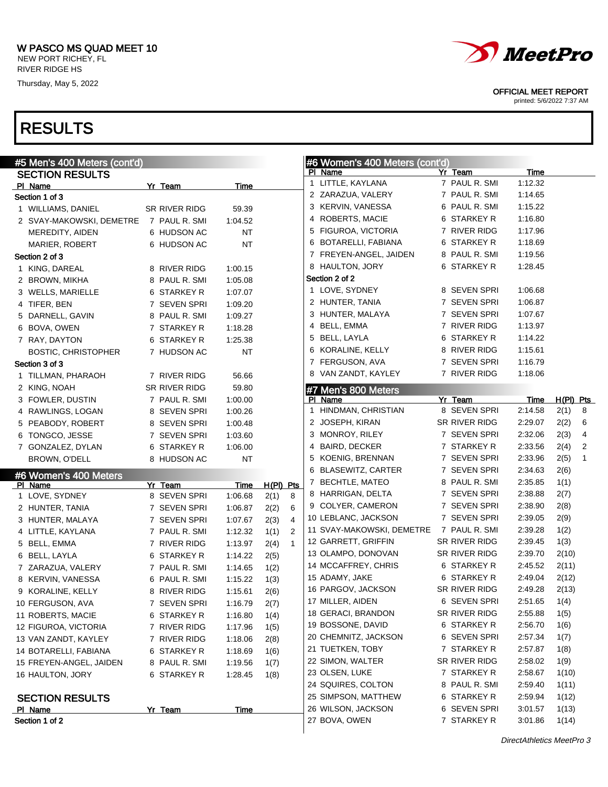#5 Men's 400 Meters (cont'd)

Thursday, May 5, 2022

#### RESULTS

| <b>SECTION RESULTS</b>     |               |           |             |                |   | PI Name                   | Yr Team       | <b>Time</b> |           |                         |
|----------------------------|---------------|-----------|-------------|----------------|---|---------------------------|---------------|-------------|-----------|-------------------------|
| PI Name                    | Yr Team       | Time      |             |                |   | 1 LITTLE, KAYLANA         | 7 PAUL R. SMI | 1:12.32     |           |                         |
| Section 1 of 3             |               |           |             |                |   | 2 ZARAZUA, VALERY         | 7 PAUL R. SMI | 1:14.65     |           |                         |
| 1 WILLIAMS, DANIEL         | SR RIVER RIDG | 59.39     |             |                |   | 3 KERVIN, VANESSA         | 6 PAUL R. SMI | 1:15.22     |           |                         |
| 2 SVAY-MAKOWSKI, DEMETRE   | 7 PAUL R. SMI | 1:04.52   |             |                |   | 4 ROBERTS, MACIE          | 6 STARKEY R   | 1:16.80     |           |                         |
| MEREDITY, AIDEN            | 6 HUDSON AC   | <b>NT</b> |             |                |   | 5 FIGUROA, VICTORIA       | 7 RIVER RIDG  | 1:17.96     |           |                         |
| <b>MARIER, ROBERT</b>      | 6 HUDSON AC   | <b>NT</b> |             |                |   | 6 BOTARELLI, FABIANA      | 6 STARKEY R   | 1:18.69     |           |                         |
| Section 2 of 3             |               |           |             |                |   | 7 FREYEN-ANGEL, JAIDEN    | 8 PAUL R. SMI | 1:19.56     |           |                         |
| 1 KING, DAREAL             | 8 RIVER RIDG  | 1:00.15   |             |                |   | 8 HAULTON, JORY           | 6 STARKEY R   | 1:28.45     |           |                         |
| 2 BROWN, MIKHA             | 8 PAUL R. SMI | 1:05.08   |             |                |   | Section 2 of 2            |               |             |           |                         |
| 3 WELLS, MARIELLE          | 6 STARKEY R   | 1:07.07   |             |                |   | 1 LOVE, SYDNEY            | 8 SEVEN SPRI  | 1:06.68     |           |                         |
| 4 TIFER, BEN               | 7 SEVEN SPRI  | 1:09.20   |             |                |   | 2 HUNTER, TANIA           | 7 SEVEN SPRI  | 1:06.87     |           |                         |
| 5 DARNELL, GAVIN           | 8 PAUL R. SMI | 1:09.27   |             |                |   | 3 HUNTER, MALAYA          | 7 SEVEN SPRI  | 1:07.67     |           |                         |
| 6 BOVA, OWEN               | 7 STARKEY R   | 1:18.28   |             |                |   | 4 BELL, EMMA              | 7 RIVER RIDG  | 1:13.97     |           |                         |
| 7 RAY, DAYTON              | 6 STARKEY R   | 1:25.38   |             |                |   | 5 BELL, LAYLA             | 6 STARKEY R   | 1:14.22     |           |                         |
| <b>BOSTIC, CHRISTOPHER</b> | 7 HUDSON AC   | <b>NT</b> |             |                |   | 6 KORALINE, KELLY         | 8 RIVER RIDG  | 1:15.61     |           |                         |
| Section 3 of 3             |               |           |             |                |   | 7 FERGUSON, AVA           | 7 SEVEN SPRI  | 1:16.79     |           |                         |
| 1 TILLMAN, PHARAOH         | 7 RIVER RIDG  | 56.66     |             |                |   | 8 VAN ZANDT, KAYLEY       | 7 RIVER RIDG  | 1:18.06     |           |                         |
| 2 KING, NOAH               | SR RIVER RIDG | 59.80     |             |                |   | #7 Men's 800 Meters       |               |             |           |                         |
| 3 FOWLER, DUSTIN           | 7 PAUL R. SMI | 1:00.00   |             |                |   | PI Name                   | Yr Team       | Time        | H(PI) Pts |                         |
| 4 RAWLINGS, LOGAN          | 8 SEVEN SPRI  | 1:00.26   |             |                | 1 | HINDMAN, CHRISTIAN        | 8 SEVEN SPRI  | 2:14.58     | 2(1)      | - 8                     |
| 5 PEABODY, ROBERT          | 8 SEVEN SPRI  | 1:00.48   |             |                |   | 2 JOSEPH, KIRAN           | SR RIVER RIDG | 2:29.07     | 2(2)      | 6                       |
| 6 TONGCO, JESSE            | 7 SEVEN SPRI  | 1:03.60   |             |                |   | 3 MONROY, RILEY           | 7 SEVEN SPRI  | 2:32.06     | 2(3)      | $\overline{\mathbf{4}}$ |
| 7 GONZALEZ, DYLAN          | 6 STARKEY R   | 1:06.00   |             |                |   | 4 BAIRD, DECKER           | 7 STARKEY R   | 2:33.56     | 2(4)      | $\overline{2}$          |
| BROWN, O'DELL              | 8 HUDSON AC   | <b>NT</b> |             |                |   | 5 KOENIG, BRENNAN         | 7 SEVEN SPRI  | 2:33.96     | 2(5)      | $\overline{1}$          |
| #6 Women's 400 Meters      |               |           |             |                |   | 6 BLASEWITZ, CARTER       | 7 SEVEN SPRI  | 2:34.63     | 2(6)      |                         |
| PI Name                    | Yr Team       | Time      | $H(PI)$ Pts |                |   | 7 BECHTLE, MATEO          | 8 PAUL R. SMI | 2:35.85     | 1(1)      |                         |
| 1 LOVE, SYDNEY             | 8 SEVEN SPRI  | 1:06.68   | 2(1)        | 8              |   | 8 HARRIGAN, DELTA         | 7 SEVEN SPRI  | 2:38.88     | 2(7)      |                         |
| 2 HUNTER, TANIA            | 7 SEVEN SPRI  | 1:06.87   | 2(2)        | 6              |   | 9 COLYER, CAMERON         | 7 SEVEN SPRI  | 2:38.90     | 2(8)      |                         |
| 3 HUNTER, MALAYA           | 7 SEVEN SPRI  | 1:07.67   | 2(3)        | 4              |   | 10 LEBLANC, JACKSON       | 7 SEVEN SPRI  | 2:39.05     | 2(9)      |                         |
| 4 LITTLE, KAYLANA          | 7 PAUL R. SMI | 1:12.32   | 1(1)        | $\overline{2}$ |   | 11 SVAY-MAKOWSKI, DEMETRE | 7 PAUL R. SMI | 2:39.28     | 1(2)      |                         |
| 5 BELL, EMMA               | 7 RIVER RIDG  | 1:13.97   | 2(4)        | $\mathbf{1}$   |   | 12 GARRETT, GRIFFIN       | SR RIVER RIDG | 2:39.45     | 1(3)      |                         |
| 6 BELL, LAYLA              | 6 STARKEY R   | 1:14.22   | 2(5)        |                |   | 13 OLAMPO, DONOVAN        | SR RIVER RIDG | 2:39.70     | 2(10)     |                         |
| 7 ZARAZUA, VALERY          | 7 PAUL R. SMI | 1:14.65   | 1(2)        |                |   | 14 MCCAFFREY, CHRIS       | 6 STARKEY R   | 2:45.52     | 2(11)     |                         |
| 8 KERVIN, VANESSA          | 6 PAUL R. SMI | 1:15.22   | 1(3)        |                |   | 15 ADAMY, JAKE            | 6 STARKEY R   | 2:49.04     | 2(12)     |                         |
| 9 KORALINE, KELLY          | 8 RIVER RIDG  | 1:15.61   | 2(6)        |                |   | 16 PARGOV, JACKSON        | SR RIVER RIDG | 2:49.28     | 2(13)     |                         |
| 10 FERGUSON, AVA           | 7 SEVEN SPRI  | 1:16.79   | 2(7)        |                |   | 17 MILLER, AIDEN          | 6 SEVEN SPRI  | 2:51.65     | 1(4)      |                         |
| 11 ROBERTS, MACIE          | 6 STARKEY R   | 1:16.80   | 1(4)        |                |   | 18 GERACI, BRANDON        | SR RIVER RIDG | 2:55.88     | 1(5)      |                         |
| 12 FIGUROA, VICTORIA       | 7 RIVER RIDG  | 1:17.96   | 1(5)        |                |   | 19 BOSSONE, DAVID         | 6 STARKEY R   | 2:56.70     | 1(6)      |                         |
| 13 VAN ZANDT, KAYLEY       | 7 RIVER RIDG  | 1:18.06   | 2(8)        |                |   | 20 CHEMNITZ, JACKSON      | 6 SEVEN SPRI  | 2:57.34     | 1(7)      |                         |
| 14 BOTARELLI, FABIANA      | 6 STARKEY R   | 1:18.69   | 1(6)        |                |   | 21 TUETKEN, TOBY          | 7 STARKEY R   | 2:57.87     | 1(8)      |                         |
| 15 FREYEN-ANGEL, JAIDEN    | 8 PAUL R. SMI | 1:19.56   | 1(7)        |                |   | 22 SIMON, WALTER          | SR RIVER RIDG | 2:58.02     | 1(9)      |                         |
| 16 HAULTON, JORY           | 6 STARKEY R   | 1:28.45   | 1(8)        |                |   | 23 OLSEN, LUKE            | 7 STARKEY R   | 2:58.67     | 1(10)     |                         |
|                            |               |           |             |                |   | 24 SQUIRES, COLTON        | 8 PAUL R. SMI | 2:59.40     | 1(11)     |                         |
| <b>SECTION RESULTS</b>     |               |           |             |                |   | 25 SIMPSON, MATTHEW       | 6 STARKEY R   | 2:59.94     | 1(12)     |                         |
| PI Name                    | Yr Team       | Time      |             |                |   | 26 WILSON, JACKSON        | 6 SEVEN SPRI  | 3:01.57     | 1(13)     |                         |
| Section 1 of 2             |               |           |             |                |   | 27 BOVA, OWEN             | 7 STARKEY R   | 3:01.86     | 1(14)     |                         |

#6 Women's 400 Meters (cont'd)



OFFICIAL MEET REPORT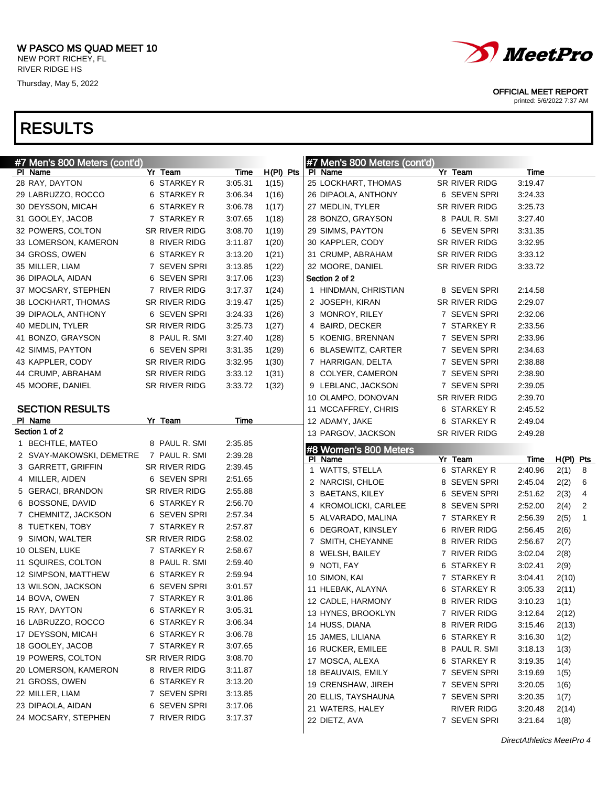



OFFICIAL MEET REPORT

| #7 Men's 800 Meters (cont'd)             |                              |                    |             | #7 Men's 800 Meters (cont'd)     |                   |             |                      |
|------------------------------------------|------------------------------|--------------------|-------------|----------------------------------|-------------------|-------------|----------------------|
| PI Name                                  | Yr Team                      | <b>Time</b>        | $H(PI)$ Pts | PI Name                          | Yr Team           | Time        |                      |
| 28 RAY, DAYTON                           | 6 STARKEY R                  | 3:05.31            | 1(15)       | 25 LOCKHART, THOMAS              | SR RIVER RIDG     | 3:19.47     |                      |
| 29 LABRUZZO, ROCCO                       | 6 STARKEY R                  | 3:06.34            | 1(16)       | 26 DIPAOLA, ANTHONY              | 6 SEVEN SPRI      | 3:24.33     |                      |
| 30 DEYSSON, MICAH                        | 6 STARKEY R                  | 3:06.78            | 1(17)       | 27 MEDLIN, TYLER                 | SR RIVER RIDG     | 3:25.73     |                      |
| 31 GOOLEY, JACOB                         | 7 STARKEY R                  | 3:07.65            | 1(18)       | 28 BONZO, GRAYSON                | 8 PAUL R. SMI     | 3:27.40     |                      |
| 32 POWERS, COLTON                        | SR RIVER RIDG                | 3:08.70            | 1(19)       | 29 SIMMS, PAYTON                 | 6 SEVEN SPRI      | 3:31.35     |                      |
| 33 LOMERSON, KAMERON                     | 8 RIVER RIDG                 | 3:11.87            | 1(20)       | 30 KAPPLER, CODY                 | SR RIVER RIDG     | 3:32.95     |                      |
| 34 GROSS, OWEN                           | 6 STARKEY R                  | 3:13.20            | 1(21)       | 31 CRUMP, ABRAHAM                | SR RIVER RIDG     | 3:33.12     |                      |
| 35 MILLER, LIAM                          | 7 SEVEN SPRI                 | 3:13.85            | 1(22)       | 32 MOORE, DANIEL                 | SR RIVER RIDG     | 3:33.72     |                      |
| 36 DIPAOLA, AIDAN                        | 6 SEVEN SPRI                 | 3:17.06            | 1(23)       | Section 2 of 2                   |                   |             |                      |
| 37 MOCSARY, STEPHEN                      | 7 RIVER RIDG                 | 3:17.37            | 1(24)       | 1 HINDMAN, CHRISTIAN             | 8 SEVEN SPRI      | 2:14.58     |                      |
| 38 LOCKHART, THOMAS                      | SR RIVER RIDG                | 3:19.47            | 1(25)       | 2 JOSEPH, KIRAN                  | SR RIVER RIDG     | 2:29.07     |                      |
| 39 DIPAOLA, ANTHONY                      | 6 SEVEN SPRI                 | 3:24.33            | 1(26)       | 3 MONROY, RILEY                  | 7 SEVEN SPRI      | 2:32.06     |                      |
| 40 MEDLIN, TYLER                         | SR RIVER RIDG                | 3:25.73            | 1(27)       | 4 BAIRD, DECKER                  | 7 STARKEY R       | 2:33.56     |                      |
| 41 BONZO, GRAYSON                        | 8 PAUL R. SMI                | 3:27.40            | 1(28)       | 5 KOENIG, BRENNAN                | 7 SEVEN SPRI      | 2:33.96     |                      |
| 42 SIMMS, PAYTON                         | 6 SEVEN SPRI                 | 3:31.35            | 1(29)       | 6 BLASEWITZ, CARTER              | 7 SEVEN SPRI      | 2:34.63     |                      |
| 43 KAPPLER, CODY                         | SR RIVER RIDG                | 3:32.95            | 1(30)       | 7 HARRIGAN, DELTA                | 7 SEVEN SPRI      | 2:38.88     |                      |
| 44 CRUMP, ABRAHAM                        | SR RIVER RIDG                | 3:33.12            | 1(31)       | 8 COLYER, CAMERON                | 7 SEVEN SPRI      | 2:38.90     |                      |
| 45 MOORE, DANIEL                         | SR RIVER RIDG                | 3:33.72            | 1(32)       | 9 LEBLANC, JACKSON               | 7 SEVEN SPRI      | 2:39.05     |                      |
|                                          |                              |                    |             | 10 OLAMPO, DONOVAN               | SR RIVER RIDG     | 2:39.70     |                      |
| <b>SECTION RESULTS</b>                   |                              |                    |             | 11 MCCAFFREY, CHRIS              | 6 STARKEY R       | 2:45.52     |                      |
| PI Name                                  | Yr Team                      | Time               |             | 12 ADAMY, JAKE                   | 6 STARKEY R       | 2:49.04     |                      |
| Section 1 of 2                           |                              |                    |             | 13 PARGOV, JACKSON               | SR RIVER RIDG     | 2:49.28     |                      |
| 1 BECHTLE, MATEO                         |                              |                    |             |                                  |                   |             |                      |
|                                          | 8 PAUL R. SMI                | 2:35.85            |             |                                  |                   |             |                      |
| 2 SVAY-MAKOWSKI, DEMETRE                 | 7 PAUL R. SMI                | 2:39.28            |             | #8 Women's 800 Meters<br>PI Name | Yr Team           | <u>Time</u> | $H(PI)$ Pts          |
| 3 GARRETT, GRIFFIN                       | SR RIVER RIDG                | 2:39.45            |             | 1 WATTS, STELLA                  | 6 STARKEY R       | 2:40.96     | 2(1)<br>8            |
| 4 MILLER, AIDEN                          | 6 SEVEN SPRI                 | 2:51.65            |             | 2 NARCISI, CHLOE                 | 8 SEVEN SPRI      | 2:45.04     | 2(2)<br>6            |
| 5 GERACI, BRANDON                        | SR RIVER RIDG                | 2:55.88            |             | 3 BAETANS, KILEY                 | 6 SEVEN SPRI      | 2:51.62     | 2(3)<br>4            |
| 6 BOSSONE, DAVID                         | 6 STARKEY R                  | 2:56.70            |             | 4 KROMOLICKI, CARLEE             | 8 SEVEN SPRI      | 2:52.00     | 2(4)<br>2            |
| 7 CHEMNITZ, JACKSON                      | 6 SEVEN SPRI                 | 2:57.34            |             | 5 ALVARADO, MALINA               | 7 STARKEY R       | 2:56.39     | 2(5)<br>$\mathbf{1}$ |
| 8 TUETKEN, TOBY                          | 7 STARKEY R                  | 2:57.87            |             | DEGROAT, KINSLEY<br>6            | 6 RIVER RIDG      | 2:56.45     | 2(6)                 |
| 9 SIMON, WALTER                          | SR RIVER RIDG                | 2:58.02            |             | 7 SMITH, CHEYANNE                | 8 RIVER RIDG      | 2:56.67     | 2(7)                 |
| 10 OLSEN, LUKE                           | 7 STARKEY R                  | 2:58.67            |             | 8 WELSH, BAILEY                  | 7 RIVER RIDG      | 3:02.04     | 2(8)                 |
| 11 SQUIRES, COLTON                       | 8 PAUL R. SMI                | 2:59.40            |             | 9 NOTI, FAY                      | 6 STARKEY R       | 3:02.41     | 2(9)                 |
| 12 SIMPSON, MATTHEW                      | 6 STARKEY R                  | 2:59.94            |             | 10 SIMON, KAI                    | 7 STARKEY R       | 3:04.41     | 2(10)                |
| 13 WILSON, JACKSON                       | 6 SEVEN SPRI                 | 3:01.57            |             | 11 HLEBAK, ALAYNA                | 6 STARKEY R       | 3:05.33     | 2(11)                |
| 14 BOVA, OWEN                            | 7 STARKEY R                  | 3:01.86            |             | 12 CADLE, HARMONY                | 8 RIVER RIDG      | 3:10.23     | 1(1)                 |
| 15 RAY, DAYTON                           | 6 STARKEY R                  | 3:05.31            |             | 13 HYNES, BROOKLYN               | 7 RIVER RIDG      | 3:12.64     | 2(12)                |
| 16 LABRUZZO, ROCCO                       | 6 STARKEY R                  | 3:06.34            |             | 14 HUSS, DIANA                   | 8 RIVER RIDG      | 3:15.46     | 2(13)                |
| 17 DEYSSON, MICAH                        | 6 STARKEY R                  | 3:06.78            |             | 15 JAMES, LILIANA                | 6 STARKEY R       | 3:16.30     | 1(2)                 |
| 18 GOOLEY, JACOB                         | 7 STARKEY R                  | 3:07.65            |             | 16 RUCKER, EMILEE                | 8 PAUL R. SMI     | 3:18.13     | 1(3)                 |
| 19 POWERS, COLTON                        | SR RIVER RIDG                | 3:08.70            |             | 17 MOSCA, ALEXA                  | 6 STARKEY R       | 3:19.35     | 1(4)                 |
| 20 LOMERSON, KAMERON                     | 8 RIVER RIDG                 | 3:11.87            |             | 18 BEAUVAIS, EMILY               | 7 SEVEN SPRI      | 3:19.69     | 1(5)                 |
| 21 GROSS, OWEN                           | 6 STARKEY R                  | 3:13.20            |             | 19 CRENSHAW, JIREH               | 7 SEVEN SPRI      | 3:20.05     | 1(6)                 |
| 22 MILLER, LIAM                          | 7 SEVEN SPRI                 | 3:13.85            |             | 20 ELLIS, TAYSHAUNA              | 7 SEVEN SPRI      | 3:20.35     | 1(7)                 |
| 23 DIPAOLA, AIDAN<br>24 MOCSARY, STEPHEN | 6 SEVEN SPRI<br>7 RIVER RIDG | 3:17.06<br>3:17.37 |             | 21 WATERS, HALEY                 | <b>RIVER RIDG</b> | 3:20.48     | 2(14)                |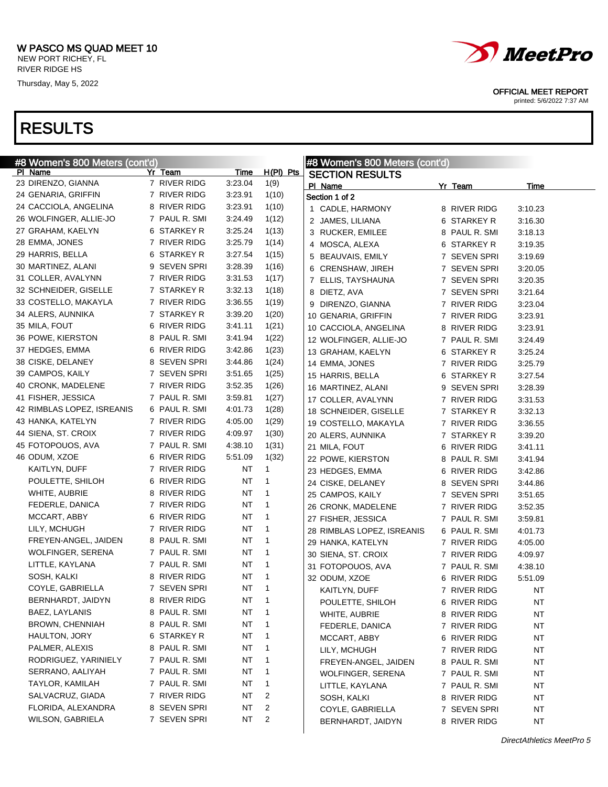





OFFICIAL MEET REPORT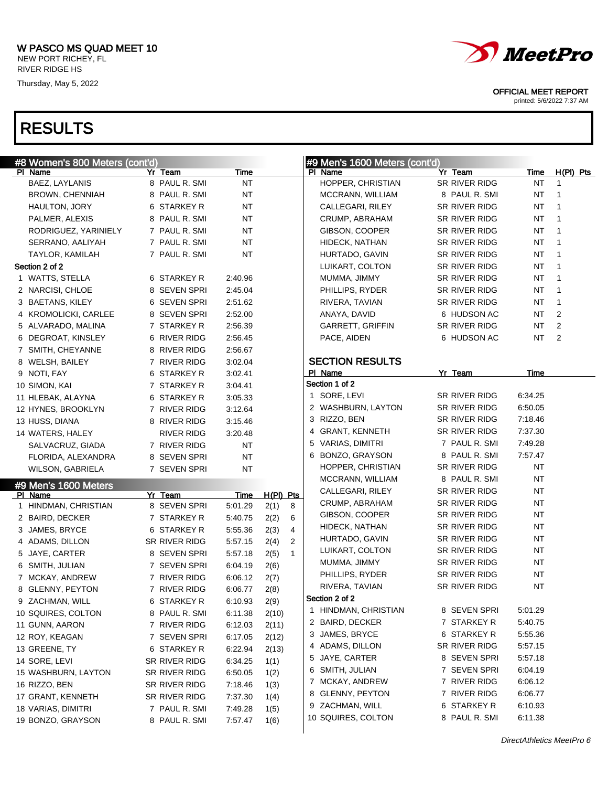# RESULTS



#### OFFICIAL MEET REPORT

| #8 Women's 800 Meters (cont'd) |               |               |             |             |              | #9 Men's 1600 Meters (cont'd) |               |             |                |
|--------------------------------|---------------|---------------|-------------|-------------|--------------|-------------------------------|---------------|-------------|----------------|
| PI Name                        | Yr Team       |               | <u>Time</u> |             |              | PI Name                       | Yr Team       | <b>Time</b> | $H(PI)$ Pts    |
| BAEZ, LAYLANIS                 |               | 8 PAUL R. SMI | <b>NT</b>   |             |              | HOPPER, CHRISTIAN             | SR RIVER RIDG | NT          | $\mathbf{1}$   |
| BROWN, CHENNIAH                |               | 8 PAUL R. SMI | <b>NT</b>   |             |              | MCCRANN, WILLIAM              | 8 PAUL R. SMI | NT          | 1              |
| HAULTON, JORY                  |               | 6 STARKEY R   | <b>NT</b>   |             |              | CALLEGARI, RILEY              | SR RIVER RIDG | NT          | $\mathbf 1$    |
| PALMER, ALEXIS                 |               | 8 PAUL R. SMI | <b>NT</b>   |             |              | CRUMP, ABRAHAM                | SR RIVER RIDG | NT          | $\overline{1}$ |
| RODRIGUEZ, YARINIELY           |               | 7 PAUL R. SMI | <b>NT</b>   |             |              | GIBSON, COOPER                | SR RIVER RIDG | NT          | $\overline{1}$ |
| SERRANO, AALIYAH               |               | 7 PAUL R. SMI | <b>NT</b>   |             |              | HIDECK, NATHAN                | SR RIVER RIDG | NT          | $\overline{1}$ |
| <b>TAYLOR, KAMILAH</b>         |               | 7 PAUL R. SMI | <b>NT</b>   |             |              | HURTADO, GAVIN                | SR RIVER RIDG | NT          | $\mathbf{1}$   |
| Section 2 of 2                 |               |               |             |             |              | LUIKART, COLTON               | SR RIVER RIDG | NT          | $\mathbf 1$    |
| 1 WATTS, STELLA                |               | 6 STARKEY R   | 2:40.96     |             |              | MUMMA, JIMMY                  | SR RIVER RIDG | NT          | $\overline{1}$ |
| 2 NARCISI, CHLOE               |               | 8 SEVEN SPRI  | 2:45.04     |             |              | PHILLIPS, RYDER               | SR RIVER RIDG | NT          | $\mathbf 1$    |
| 3 BAETANS, KILEY               |               | 6 SEVEN SPRI  | 2:51.62     |             |              | RIVERA, TAVIAN                | SR RIVER RIDG | NT          | $\mathbf{1}$   |
| 4 KROMOLICKI, CARLEE           |               | 8 SEVEN SPRI  | 2:52.00     |             |              | ANAYA, DAVID                  | 6 HUDSON AC   | NT          | 2              |
| 5 ALVARADO, MALINA             |               | 7 STARKEY R   | 2:56.39     |             |              | GARRETT, GRIFFIN              | SR RIVER RIDG | <b>NT</b>   | $\overline{2}$ |
| 6 DEGROAT, KINSLEY             |               | 6 RIVER RIDG  | 2:56.45     |             |              | PACE, AIDEN                   | 6 HUDSON AC   | <b>NT</b>   | 2              |
| 7 SMITH, CHEYANNE              |               | 8 RIVER RIDG  | 2:56.67     |             |              |                               |               |             |                |
| 8 WELSH, BAILEY                |               | 7 RIVER RIDG  | 3:02.04     |             |              | <b>SECTION RESULTS</b>        |               |             |                |
| 9 NOTI, FAY                    |               | 6 STARKEY R   | 3:02.41     |             |              | PI Name                       | Yr Team       | Time        |                |
| 10 SIMON, KAI                  |               | 7 STARKEY R   | 3:04.41     |             |              | Section 1 of 2                |               |             |                |
| 11 HLEBAK, ALAYNA              |               | 6 STARKEY R   | 3:05.33     |             |              | 1 SORE, LEVI                  | SR RIVER RIDG | 6:34.25     |                |
| 12 HYNES, BROOKLYN             |               | 7 RIVER RIDG  | 3:12.64     |             |              | 2 WASHBURN, LAYTON            | SR RIVER RIDG | 6:50.05     |                |
| 13 HUSS, DIANA                 |               | 8 RIVER RIDG  | 3:15.46     |             |              | 3 RIZZO, BEN                  | SR RIVER RIDG | 7:18.46     |                |
| 14 WATERS, HALEY               |               | RIVER RIDG    | 3:20.48     |             |              | 4 GRANT, KENNETH              | SR RIVER RIDG | 7:37.30     |                |
| SALVACRUZ, GIADA               |               | 7 RIVER RIDG  | <b>NT</b>   |             |              | 5 VARIAS, DIMITRI             | 7 PAUL R. SMI | 7:49.28     |                |
| FLORIDA, ALEXANDRA             |               | 8 SEVEN SPRI  | <b>NT</b>   |             |              | 6 BONZO, GRAYSON              | 8 PAUL R. SMI | 7:57.47     |                |
| WILSON, GABRIELA               |               | 7 SEVEN SPRI  | <b>NT</b>   |             |              | HOPPER, CHRISTIAN             | SR RIVER RIDG | NT          |                |
| #9 Men's 1600 Meters           |               |               |             |             |              | MCCRANN, WILLIAM              | 8 PAUL R. SMI | <b>NT</b>   |                |
| PI Name                        | Yr Team       |               | Time        | $H(PI)$ Pts |              | CALLEGARI, RILEY              | SR RIVER RIDG | <b>NT</b>   |                |
| 1 HINDMAN, CHRISTIAN           |               | 8 SEVEN SPRI  | 5:01.29     | 2(1)        | 8            | CRUMP, ABRAHAM                | SR RIVER RIDG | <b>NT</b>   |                |
| 2 BAIRD, DECKER                |               | 7 STARKEY R   | 5:40.75     | 2(2)        | 6            | GIBSON, COOPER                | SR RIVER RIDG | <b>NT</b>   |                |
| 3 JAMES, BRYCE                 |               | 6 STARKEY R   | 5:55.36     | 2(3)        | 4            | HIDECK, NATHAN                | SR RIVER RIDG | <b>NT</b>   |                |
| 4 ADAMS, DILLON                | SR RIVER RIDG |               | 5:57.15     | 2(4)        | 2            | HURTADO, GAVIN                | SR RIVER RIDG | <b>NT</b>   |                |
| 5 JAYE, CARTER                 |               | 8 SEVEN SPRI  | 5:57.18     | 2(5)        | $\mathbf{1}$ | LUIKART, COLTON               | SR RIVER RIDG | NT          |                |
| 6 SMITH, JULIAN                |               | 7 SEVEN SPRI  | 6:04.19     | 2(6)        |              | MUMMA, JIMMY                  | SR RIVER RIDG | <b>NT</b>   |                |
| 7 MCKAY, ANDREW                |               | 7 RIVER RIDG  | 6:06.12     | 2(7)        |              | PHILLIPS, RYDER               | SR RIVER RIDG | NT          |                |
| 8 GLENNY, PEYTON               |               | 7 RIVER RIDG  | 6:06.77     | 2(8)        |              | RIVERA, TAVIAN                | SR RIVER RIDG | <b>NT</b>   |                |
| 9 ZACHMAN, WILL                |               | 6 STARKEY R   | 6:10.93     | 2(9)        |              | Section 2 of 2                |               |             |                |
| 10 SQUIRES, COLTON             |               | 8 PAUL R. SMI | 6:11.38     | 2(10)       |              | 1 HINDMAN, CHRISTIAN          | 8 SEVEN SPRI  | 5:01.29     |                |
| 11 GUNN, AARON                 |               | 7 RIVER RIDG  | 6:12.03     | 2(11)       |              | 2 BAIRD, DECKER               | 7 STARKEY R   | 5:40.75     |                |
| 12 ROY, KEAGAN                 |               | 7 SEVEN SPRI  | 6:17.05     | 2(12)       |              | 3 JAMES, BRYCE                | 6 STARKEY R   | 5:55.36     |                |
| 13 GREENE, TY                  |               | 6 STARKEY R   | 6:22.94     | 2(13)       |              | 4 ADAMS, DILLON               | SR RIVER RIDG | 5:57.15     |                |
| 14 SORE, LEVI                  | SR RIVER RIDG |               | 6:34.25     | 1(1)        |              | 5 JAYE, CARTER                | 8 SEVEN SPRI  | 5:57.18     |                |
| 15 WASHBURN, LAYTON            | SR RIVER RIDG |               | 6:50.05     | 1(2)        |              | 6 SMITH, JULIAN               | 7 SEVEN SPRI  | 6:04.19     |                |
| 16 RIZZO, BEN                  | SR RIVER RIDG |               | 7:18.46     | 1(3)        |              | 7 MCKAY, ANDREW               | 7 RIVER RIDG  | 6:06.12     |                |
| 17 GRANT, KENNETH              | SR RIVER RIDG |               | 7:37.30     | 1(4)        |              | 8 GLENNY, PEYTON              | 7 RIVER RIDG  | 6:06.77     |                |
| 18 VARIAS, DIMITRI             |               | 7 PAUL R. SMI | 7:49.28     | 1(5)        |              | 9 ZACHMAN, WILL               | 6 STARKEY R   | 6:10.93     |                |
| 19 BONZO, GRAYSON              |               | 8 PAUL R. SMI | 7:57.47     | 1(6)        |              | 10 SQUIRES, COLTON            | 8 PAUL R. SMI | 6:11.38     |                |
|                                |               |               |             |             |              |                               |               |             |                |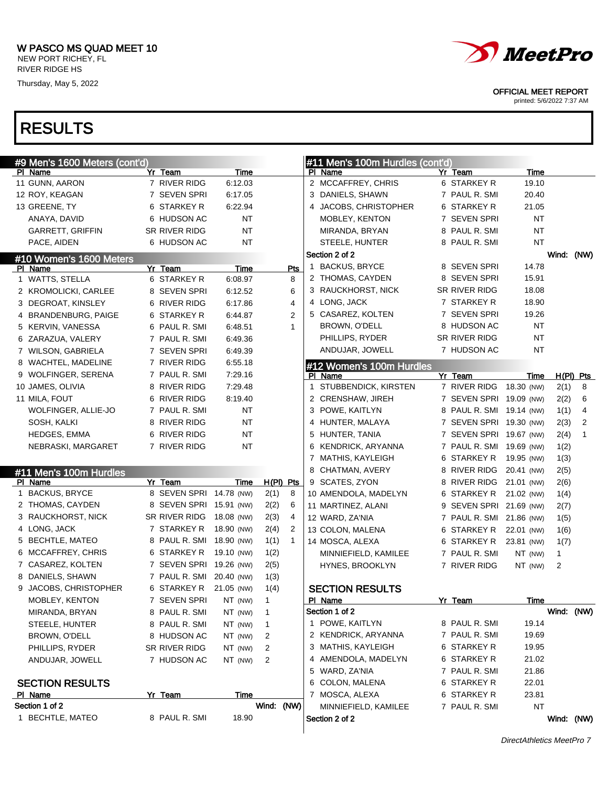RIVER RIDGE HS

Thursday, May 5, 2022



OFFICIAL MEET REPORT

printed: 5/6/2022 7:37 AM

## RESULTS

| #9 Men's 1600 Meters (cont'd) |                          |                          |                      | #11 Men's 100m Hurdles (cont'd)      |                          |                           |
|-------------------------------|--------------------------|--------------------------|----------------------|--------------------------------------|--------------------------|---------------------------|
| PI Name                       | Yr Team                  | Time                     |                      | PI Name                              | Yr Team                  | Time                      |
| 11 GUNN, AARON                | 7 RIVER RIDG             | 6:12.03                  |                      | 2 MCCAFFREY, CHRIS                   | 6 STARKEY R              | 19.10                     |
| 12 ROY, KEAGAN                | 7 SEVEN SPRI             | 6:17.05                  |                      | 3 DANIELS, SHAWN                     | 7 PAUL R. SMI            | 20.40                     |
| 13 GREENE, TY                 | 6 STARKEY R              | 6:22.94                  |                      | 4 JACOBS, CHRISTOPHER                | 6 STARKEY R              | 21.05                     |
| ANAYA, DAVID                  | 6 HUDSON AC              | NT                       |                      | <b>MOBLEY, KENTON</b>                | 7 SEVEN SPRI             | <b>NT</b>                 |
| <b>GARRETT, GRIFFIN</b>       | SR RIVER RIDG            | <b>NT</b>                |                      | MIRANDA, BRYAN                       | 8 PAUL R. SMI            | <b>NT</b>                 |
| PACE, AIDEN                   | 6 HUDSON AC              | <b>NT</b>                |                      | STEELE, HUNTER                       | 8 PAUL R. SMI            | <b>NT</b>                 |
| #10 Women's 1600 Meters       |                          |                          |                      | Section 2 of 2                       |                          | Wind:<br>(NW)             |
| PI Name                       | Yr Team                  | Time                     | Pts                  | 1 BACKUS, BRYCE                      | 8 SEVEN SPRI             | 14.78                     |
| 1 WATTS, STELLA               | 6 STARKEY R              | 6:08.97                  | 8                    | 2 THOMAS, CAYDEN                     | 8 SEVEN SPRI             | 15.91                     |
| 2 KROMOLICKI, CARLEE          | 8 SEVEN SPRI             | 6:12.52                  | 6                    | 3 RAUCKHORST, NICK                   | SR RIVER RIDG            | 18.08                     |
| 3 DEGROAT, KINSLEY            | 6 RIVER RIDG             | 6:17.86                  | 4                    | 4 LONG, JACK                         | 7 STARKEY R              | 18.90                     |
| 4 BRANDENBURG, PAIGE          | 6 STARKEY R              | 6:44.87                  | $\overline{2}$       | 5 CASAREZ, KOLTEN                    | 7 SEVEN SPRI             | 19.26                     |
| 5 KERVIN, VANESSA             | 6 PAUL R. SMI            | 6:48.51                  | 1                    | BROWN, O'DELL                        | 8 HUDSON AC              | NT                        |
| 6 ZARAZUA, VALERY             | 7 PAUL R. SMI            | 6:49.36                  |                      | PHILLIPS, RYDER                      | SR RIVER RIDG            | <b>NT</b>                 |
| 7 WILSON, GABRIELA            | 7 SEVEN SPRI             | 6:49.39                  |                      | ANDUJAR, JOWELL                      | 7 HUDSON AC              | <b>NT</b>                 |
| 8 WACHTEL, MADELINE           | 7 RIVER RIDG             | 6:55.18                  |                      | #12 Women's 100m Hurdles             |                          |                           |
| 9 WOLFINGER, SERENA           | 7 PAUL R. SMI            | 7:29.16                  |                      | PI Name                              | Yr Team                  | $H(PI)$ Pts<br>Time       |
| 10 JAMES, OLIVIA              | 8 RIVER RIDG             | 7:29.48                  |                      | STUBBENDICK, KIRSTEN<br>$\mathbf{1}$ | 7 RIVER RIDG             | 18.30 (NW)<br>2(1)<br>8   |
| 11 MILA, FOUT                 | 6 RIVER RIDG             | 8:19.40                  |                      | 2 CRENSHAW, JIREH                    | 7 SEVEN SPRI 19.09 (NW)  | 2(2)<br>6                 |
| WOLFINGER, ALLIE-JO           | 7 PAUL R. SMI            | <b>NT</b>                |                      | 3 POWE, KAITLYN                      | 8 PAUL R. SMI 19.14 (NW) | 4<br>1(1)                 |
| SOSH, KALKI                   | 8 RIVER RIDG             | <b>NT</b>                |                      | 4 HUNTER, MALAYA                     | 7 SEVEN SPRI 19.30 (NW)  | 2<br>2(3)                 |
| HEDGES, EMMA                  | 6 RIVER RIDG             | <b>NT</b>                |                      | 5 HUNTER, TANIA                      | 7 SEVEN SPRI 19.67 (NW)  | $\mathbf{1}$<br>2(4)      |
| NEBRASKI, MARGARET            | 7 RIVER RIDG             | <b>NT</b>                |                      | 6 KENDRICK, ARYANNA                  | 7 PAUL R. SMI 19.69 (NW) | 1(2)                      |
|                               |                          |                          |                      | 7 MATHIS, KAYLEIGH                   | 6 STARKEY R              | 19.95 (NW)<br>1(3)        |
| #11 Men's 100m Hurdles        |                          |                          |                      | 8 CHATMAN, AVERY                     | 8 RIVER RIDG 20.41 (NW)  | 2(5)                      |
| PI Name                       | Yr Team                  | Time                     | $H(PI)$ Pts          | 9 SCATES, ZYON                       | 8 RIVER RIDG 21.01 (NW)  | 2(6)                      |
| 1 BACKUS, BRYCE               | 8 SEVEN SPRI 14.78 (NW)  |                          | 2(1)<br>8            | 10 AMENDOLA, MADELYN                 | 6 STARKEY R              | 21.02 (NW)<br>1(4)        |
| 2 THOMAS, CAYDEN              |                          | 8 SEVEN SPRI 15.91 (NW)  | 2(2)<br>6            | 11 MARTINEZ, ALANI                   | 9 SEVEN SPRI 21.69 (NW)  | 2(7)                      |
| 3 RAUCKHORST, NICK            | SR RIVER RIDG            | 18.08 (NW)               | 2(3)<br>4            | 12 WARD, ZA'NIA                      | 7 PAUL R. SMI 21.86 (NW) | 1(5)                      |
| 4 LONG, JACK                  | 7 STARKEY R              | 18.90 (NW)               | 2(4)<br>2            | 13 COLON, MALENA                     | 6 STARKEY R              | 22.01 (NW)<br>1(6)        |
| 5 BECHTLE, MATEO              |                          | 8 PAUL R. SMI 18.90 (NW) | 1(1)<br>$\mathbf{1}$ | 14 MOSCA, ALEXA                      | 6 STARKEY R              | 23.81 (NW)<br>1(7)        |
| 6 MCCAFFREY, CHRIS            | 6 STARKEY R              | 19.10 (NW)               | 1(2)                 | MINNIEFIELD, KAMILEE                 | 7 PAUL R. SMI            | NT (NW)<br>$\mathbf{1}$   |
| 7 CASAREZ, KOLTEN             |                          | 7 SEVEN SPRI 19.26 (NW)  | 2(5)                 | HYNES, BROOKLYN                      | 7 RIVER RIDG             | NT (NW)<br>$\overline{2}$ |
| 8 DANIELS, SHAWN              | 7 PAUL R. SMI 20.40 (NW) |                          | 1(3)                 |                                      |                          |                           |
| 9 JACOBS, CHRISTOPHER         | 6 STARKEY R              | 21.05 (NW)               | 1(4)                 | <b>SECTION RESULTS</b>               |                          |                           |
| MOBLEY, KENTON                |                          | 7 SEVEN SPRI NT (NW)     | 1                    | PI Name                              | Yr Team                  | Time                      |
| MIRANDA, BRYAN                | 8 PAUL R. SMI            | NT (NW)                  | $\mathbf{1}$         | Section 1 of 2                       |                          | Wind: (NW)                |
| STEELE, HUNTER                | 8 PAUL R. SMI            | NT (NW)                  | 1                    | 1 POWE, KAITLYN                      | 8 PAUL R. SMI            | 19.14                     |
| BROWN, O'DELL                 | 8 HUDSON AC              | NT (NW)                  | 2                    | 2 KENDRICK, ARYANNA                  | 7 PAUL R. SMI            | 19.69                     |
| PHILLIPS, RYDER               | SR RIVER RIDG            | NT (NW)                  | 2                    | 3 MATHIS, KAYLEIGH                   | 6 STARKEY R              | 19.95                     |
| ANDUJAR, JOWELL               | 7 HUDSON AC              | NT (NW)                  | 2                    | 4 AMENDOLA, MADELYN                  | 6 STARKEY R              | 21.02                     |
|                               |                          |                          |                      | 5 WARD, ZA'NIA                       | 7 PAUL R. SMI            | 21.86                     |
| <b>SECTION RESULTS</b>        |                          |                          |                      | 6 COLON, MALENA                      | 6 STARKEY R              | 22.01                     |
| PI Name                       | Yr Team                  | Time                     |                      | 7 MOSCA, ALEXA                       | 6 STARKEY R              | 23.81                     |
| Section 1 of 2                |                          |                          | Wind: (NW)           | MINNIEFIELD, KAMILEE                 | 7 PAUL R. SMI            | <b>NT</b>                 |
| 1 BECHTLE, MATEO              | 8 PAUL R. SMI            | 18.90                    |                      | Section 2 of 2                       |                          | Wind: (NW)                |
|                               |                          |                          |                      |                                      |                          |                           |

DirectAthletics MeetPro 7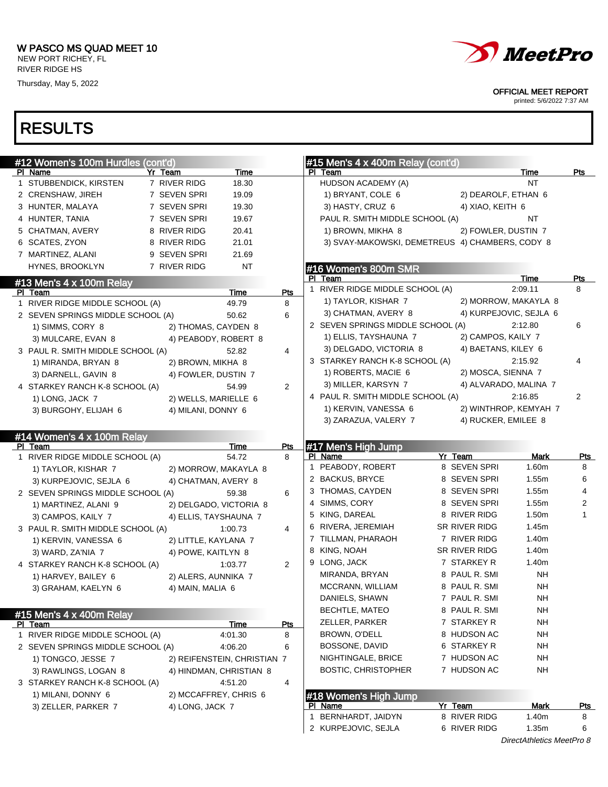

OFFICIAL MEET REPORT

printed: 5/6/2022 7:37 AM

| #12 Women's 100m Hurdles (cont'd) |                       |                             |                | #15 Men's $4 \times 400$ m Relay (cont'd)       |                         |                                    |                 |
|-----------------------------------|-----------------------|-----------------------------|----------------|-------------------------------------------------|-------------------------|------------------------------------|-----------------|
| PI Name                           | Yr Team               | Time                        |                | PI Team                                         |                         | Time                               | Pts             |
| 1 STUBBENDICK, KIRSTEN            | 7 RIVER RIDG          | 18.30                       |                | HUDSON ACADEMY (A)                              |                         | <b>NT</b>                          |                 |
| 2 CRENSHAW, JIREH                 | 7 SEVEN SPRI          | 19.09                       |                | 1) BRYANT, COLE 6                               | 2) DEAROLF, ETHAN 6     |                                    |                 |
| 3 HUNTER, MALAYA                  | 7 SEVEN SPRI          | 19.30                       |                | 3) HASTY, CRUZ 6                                | 4) XIAO, KEITH 6        |                                    |                 |
| 4 HUNTER, TANIA                   | 7 SEVEN SPRI          | 19.67                       |                | PAUL R. SMITH MIDDLE SCHOOL (A)                 |                         | NT                                 |                 |
| 5 CHATMAN, AVERY                  | 8 RIVER RIDG          | 20.41                       |                | 1) BROWN, MIKHA 8                               | 2) FOWLER, DUSTIN 7     |                                    |                 |
| 6 SCATES, ZYON                    | 8 RIVER RIDG          | 21.01                       |                | 3) SVAY-MAKOWSKI, DEMETREUS 4) CHAMBERS, CODY 8 |                         |                                    |                 |
| 7 MARTINEZ, ALANI                 | 9 SEVEN SPRI          | 21.69                       |                |                                                 |                         |                                    |                 |
| HYNES, BROOKLYN                   | 7 RIVER RIDG          | NT                          |                | #16 Women's 800m SMR                            |                         |                                    |                 |
| #13 Men's 4 x 100m Relay          |                       |                             |                | PI Team<br>1 RIVER RIDGE MIDDLE SCHOOL (A)      |                         | <b>Time</b><br>2:09.11             | Pts<br>8        |
| PI Team                           |                       | Time                        | Pts            |                                                 |                         |                                    |                 |
| 1 RIVER RIDGE MIDDLE SCHOOL (A)   |                       | 49.79                       | 8              | 1) TAYLOR, KISHAR 7                             |                         | 2) MORROW, MAKAYLA 8               |                 |
| 2 SEVEN SPRINGS MIDDLE SCHOOL (A) |                       | 50.62                       | 6              | 3) CHATMAN, AVERY 8                             |                         | 4) KURPEJOVIC, SEJLA 6             |                 |
| 1) SIMMS, CORY 8                  | 2) THOMAS, CAYDEN 8   |                             |                | 2 SEVEN SPRINGS MIDDLE SCHOOL (A)               |                         | 2:12.80                            | 6               |
| 3) MULCARE, EVAN 8                |                       | 4) PEABODY, ROBERT 8        |                | 1) ELLIS, TAYSHAUNA 7                           | 2) CAMPOS, KAILY 7      |                                    |                 |
| 3 PAUL R. SMITH MIDDLE SCHOOL (A) |                       | 52.82                       | 4              | 3) DELGADO, VICTORIA 8                          | 4) BAETANS, KILEY 6     |                                    |                 |
| 1) MIRANDA, BRYAN 8               | 2) BROWN, MIKHA 8     |                             |                | 3 STARKEY RANCH K-8 SCHOOL (A)                  |                         | 2:15.92                            | 4               |
| 3) DARNELL, GAVIN 8               | 4) FOWLER, DUSTIN 7   |                             |                | 1) ROBERTS, MACIE 6                             | 2) MOSCA, SIENNA 7      |                                    |                 |
| 4 STARKEY RANCH K-8 SCHOOL (A)    |                       | 54.99                       | $\overline{2}$ | 3) MILLER, KARSYN 7                             |                         | 4) ALVARADO, MALINA 7              |                 |
| 1) LONG, JACK 7                   | 2) WELLS, MARIELLE 6  |                             |                | 4 PAUL R. SMITH MIDDLE SCHOOL (A)               |                         | 2:16.85                            | 2               |
| 3) BURGOHY, ELIJAH 6              | 4) MILANI, DONNY 6    |                             |                | 1) KERVIN, VANESSA 6                            |                         | 2) WINTHROP, KEMYAH 7              |                 |
|                                   |                       |                             |                | 3) ZARAZUA, VALERY 7                            | 4) RUCKER, EMILEE 8     |                                    |                 |
| #14 Women's 4 x 100m Relay        |                       |                             |                |                                                 |                         |                                    |                 |
| PI Team                           |                       | Time                        | <u>Pts</u>     | #17 Men's High Jump                             |                         |                                    |                 |
| 1 RIVER RIDGE MIDDLE SCHOOL (A)   |                       | 54.72                       | 8              | PI Name<br>1 PEABODY, ROBERT                    | Yr Team<br>8 SEVEN SPRI | <b>Mark</b><br>1.60m               | <u>Pts</u><br>8 |
| 1) TAYLOR, KISHAR 7               |                       | 2) MORROW, MAKAYLA 8        |                | 2 BACKUS, BRYCE                                 | 8 SEVEN SPRI            | 1.55m                              | 6               |
| 3) KURPEJOVIC, SEJLA 6            | 4) CHATMAN, AVERY 8   |                             |                | 3 THOMAS, CAYDEN                                | 8 SEVEN SPRI            | 1.55m                              | 4               |
| 2 SEVEN SPRINGS MIDDLE SCHOOL (A) |                       | 59.38                       | 6              | 4 SIMMS, CORY                                   | 8 SEVEN SPRI            | 1.55m                              | $\overline{c}$  |
| 1) MARTINEZ, ALANI 9              |                       | 2) DELGADO, VICTORIA 8      |                | 5 KING, DAREAL                                  | 8 RIVER RIDG            | 1.50m                              | $\mathbf{1}$    |
| 3) CAMPOS, KAILY 7                | 4) ELLIS, TAYSHAUNA 7 |                             |                | 6 RIVERA, JEREMIAH                              | SR RIVER RIDG           | 1.45m                              |                 |
| 3 PAUL R. SMITH MIDDLE SCHOOL (A) |                       | 1:00.73                     | 4              | 7 TILLMAN, PHARAOH                              | 7 RIVER RIDG            | 1.40m                              |                 |
| 1) KERVIN, VANESSA 6              | 2) LITTLE, KAYLANA 7  |                             |                |                                                 |                         |                                    |                 |
| 3) WARD, ZA'NIA 7                 | 4) POWE, KAITLYN 8    |                             |                | 8 KING, NOAH<br>9 LONG, JACK                    | SR RIVER RIDG           | 1.40m                              |                 |
| 4 STARKEY RANCH K-8 SCHOOL (A)    |                       | 1:03.77                     | $\overline{2}$ |                                                 | 7 STARKEY R             | 1.40m                              |                 |
| 1) HARVEY, BAILEY 6               | 2) ALERS, AUNNIKA 7   |                             |                | MIRANDA, BRYAN                                  | 8 PAUL R. SMI           | <b>NH</b>                          |                 |
| 3) GRAHAM, KAELYN 6               | 4) MAIN, MALIA 6      |                             |                | MCCRANN, WILLIAM                                | 8 PAUL R. SMI           | <b>NH</b>                          |                 |
|                                   |                       |                             |                | DANIELS, SHAWN                                  | 7 PAUL R. SMI           | <b>NH</b>                          |                 |
| #15 Men's 4 x 400m Relay          |                       |                             |                | <b>BECHTLE, MATEO</b>                           | 8 PAUL R. SMI           | ΝH                                 |                 |
| PI Team                           |                       | Time                        | Pts            | ZELLER, PARKER                                  | 7 STARKEY R             | <b>NH</b>                          |                 |
| 1 RIVER RIDGE MIDDLE SCHOOL (A)   |                       | 4:01.30                     | 8              | BROWN, O'DELL                                   | 8 HUDSON AC             | <b>NH</b>                          |                 |
| 2 SEVEN SPRINGS MIDDLE SCHOOL (A) |                       | 4:06.20                     | 6              | BOSSONE, DAVID                                  | 6 STARKEY R             | <b>NH</b>                          |                 |
| 1) TONGCO, JESSE 7                |                       | 2) REIFENSTEIN, CHRISTIAN 7 |                | NIGHTINGALE, BRICE                              | 7 HUDSON AC             | <b>NH</b>                          |                 |
| 3) RAWLINGS, LOGAN 8              |                       | 4) HINDMAN, CHRISTIAN 8     |                | <b>BOSTIC, CHRISTOPHER</b>                      | 7 HUDSON AC             | <b>NH</b>                          |                 |
| 3 STARKEY RANCH K-8 SCHOOL (A)    |                       | 4:51.20                     | 4              |                                                 |                         |                                    |                 |
| 1) MILANI, DONNY 6                |                       | 2) MCCAFFREY, CHRIS 6       |                | #18 Women's High Jump                           |                         |                                    |                 |
| 3) ZELLER, PARKER 7               | 4) LONG, JACK 7       |                             |                | PI Name                                         | Yr Team                 | <b>Mark</b>                        | <u>Pts</u>      |
|                                   |                       |                             |                | 1 BERNHARDT, JAIDYN                             | 8 RIVER RIDG            | 1.40m                              | 8               |
|                                   |                       |                             |                | 2 KURPEJOVIC, SEJLA                             | 6 RIVER RIDG            | 1.35m<br>DirectAthletics MeetPro 8 | 6               |
|                                   |                       |                             |                |                                                 |                         |                                    |                 |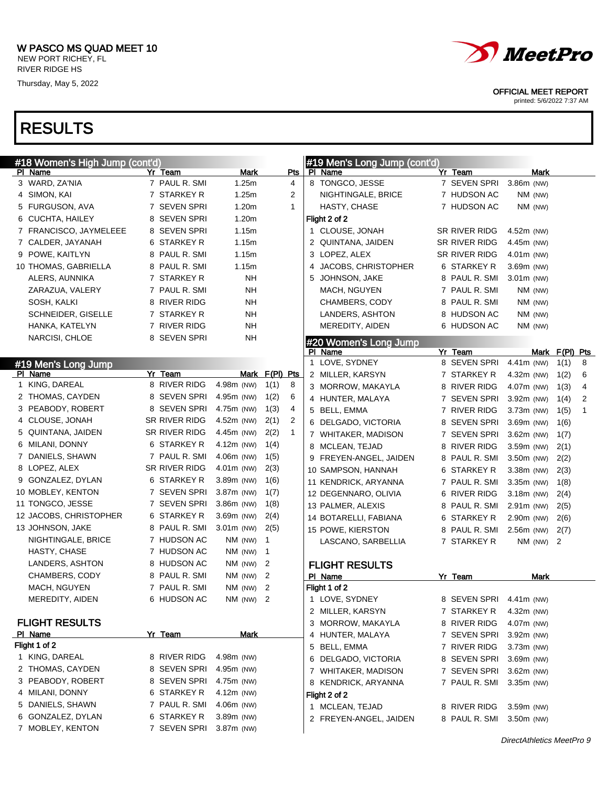# RESULTS

| <i>MeetPro</i> |  |
|----------------|--|
|----------------|--|

OFFICIAL MEET REPORT

|                  | #18 Women's High Jump (cont'd) |   |                   |              |             |                |              | #19 Men's Long Jump (cont'd) |                         |              |         |                |                |
|------------------|--------------------------------|---|-------------------|--------------|-------------|----------------|--------------|------------------------------|-------------------------|--------------|---------|----------------|----------------|
| PI Name          |                                |   | Yr Team           |              | <b>Mark</b> |                | Pts          | PI Name                      | Yr Team                 |              | Mark    |                |                |
| 3 WARD, ZA'NIA   |                                |   | 7 PAUL R. SMI     |              | 1.25m       |                | 4            | 8 TONGCO, JESSE              | 7 SEVEN SPRI            | 3.86m (NW)   |         |                |                |
| 4 SIMON, KAI     |                                |   | 7 STARKEY R       |              | 1.25m       |                | 2            | NIGHTINGALE, BRICE           | 7 HUDSON AC             |              | NM (NW) |                |                |
|                  | 5 FURGUSON, AVA                |   | 7 SEVEN SPRI      |              | 1.20m       |                | $\mathbf{1}$ | <b>HASTY, CHASE</b>          | 7 HUDSON AC             |              | NM (NW) |                |                |
|                  | 6 CUCHTA, HAILEY               |   | 8 SEVEN SPRI      |              | 1.20m       |                |              | Flight 2 of 2                |                         |              |         |                |                |
|                  | 7 FRANCISCO, JAYMELEEE         | 8 | <b>SEVEN SPRI</b> |              | 1.15m       |                |              | 1 CLOUSE, JONAH              | SR RIVER RIDG           | 4.52m (NW)   |         |                |                |
|                  | 7 CALDER, JAYANAH              | 6 | <b>STARKEY R</b>  |              | 1.15m       |                |              | 2 QUINTANA, JAIDEN           | SR RIVER RIDG           | 4.45m (NW)   |         |                |                |
| 9 POWE, KAITLYN  |                                | 8 | PAUL R. SMI       |              | 1.15m       |                |              | 3 LOPEZ, ALEX                | SR RIVER RIDG           | $4.01m$ (NW) |         |                |                |
|                  | 10 THOMAS, GABRIELLA           |   | 8 PAUL R. SMI     |              | 1.15m       |                |              | 4 JACOBS, CHRISTOPHER        | 6 STARKEY R             | 3.69m (NW)   |         |                |                |
|                  | ALERS, AUNNIKA                 |   | 7 STARKEY R       |              | <b>NH</b>   |                |              | 5 JOHNSON, JAKE              | 8 PAUL R. SMI           | $3.01m$ (NW) |         |                |                |
|                  | ZARAZUA, VALERY                |   | 7 PAUL R. SMI     |              | <b>NH</b>   |                |              | MACH, NGUYEN                 | 7 PAUL R. SMI           |              | NM (NW) |                |                |
| SOSH, KALKI      |                                |   | 8 RIVER RIDG      |              | <b>NH</b>   |                |              | CHAMBERS, CODY               | 8 PAUL R. SMI           |              | NM (NW) |                |                |
|                  | SCHNEIDER, GISELLE             |   | 7 STARKEY R       |              | <b>NH</b>   |                |              | LANDERS, ASHTON              | 8 HUDSON AC             |              | NM (NW) |                |                |
|                  | HANKA, KATELYN                 |   | 7 RIVER RIDG      |              | <b>NH</b>   |                |              | MEREDITY, AIDEN              | 6 HUDSON AC             |              | NM (NW) |                |                |
|                  | NARCISI, CHLOE                 |   | 8 SEVEN SPRI      |              | <b>NH</b>   |                |              | #20 Women's Long Jump        |                         |              |         |                |                |
|                  |                                |   |                   |              |             |                |              | PI Name                      | Yr Team                 |              |         | Mark F(PI) Pts |                |
|                  | #19 Men's Long Jump            |   |                   |              |             |                |              | 1 LOVE, SYDNEY               | 8 SEVEN SPRI            | $4.41m$ (NW) |         | 1(1)           | 8              |
| PI Name          |                                |   | Yr Team           |              |             | Mark F(PI) Pts |              | 2 MILLER, KARSYN             | 7 STARKEY R             | $4.32m$ (NW) |         | 1(2)           | 6              |
| 1 KING, DAREAL   |                                |   | 8 RIVER RIDG      | 4.98m (NW)   |             | 1(1)           | 8            | 3 MORROW, MAKAYLA            | 8 RIVER RIDG            | 4.07m (NW)   |         | 1(3)           | 4              |
|                  | 2 THOMAS, CAYDEN               |   | 8 SEVEN SPRI      | 4.95m (NW)   |             | 1(2)           | 6            | 4 HUNTER, MALAYA             | 7 SEVEN SPRI            | 3.92m (NW)   |         | 1(4)           | $\overline{2}$ |
|                  | 3 PEABODY, ROBERT              |   | 8 SEVEN SPRI      | 4.75m (NW)   |             | 1(3)           | 4            | 5 BELL, EMMA                 | 7 RIVER RIDG            | $3.73m$ (NW) |         | 1(5)           | $\overline{1}$ |
| 4 CLOUSE, JONAH  |                                |   | SR RIVER RIDG     | 4.52m (NW)   |             | 2(1)           | 2            | 6 DELGADO, VICTORIA          | 8 SEVEN SPRI            | 3.69m (NW)   |         | 1(6)           |                |
|                  | 5 QUINTANA, JAIDEN             |   | SR RIVER RIDG     | 4.45m (NW)   |             | 2(2)           | -1           | 7 WHITAKER, MADISON          | 7 SEVEN SPRI            | $3.62m$ (NW) |         | 1(7)           |                |
| 6 MILANI, DONNY  |                                |   | 6 STARKEY R       | 4.12m (NW)   |             | 1(4)           |              | 8 MCLEAN, TEJAD              | 8 RIVER RIDG            | 3.59m (NW)   |         | 2(1)           |                |
|                  | 7 DANIELS, SHAWN               |   | 7 PAUL R. SMI     | 4.06m (NW)   |             | 1(5)           |              | 9 FREYEN-ANGEL, JAIDEN       | 8 PAUL R. SMI           | 3.50m (NW)   |         | 2(2)           |                |
| 8 LOPEZ, ALEX    |                                |   | SR RIVER RIDG     | $4.01m$ (NW) |             | 2(3)           |              | 10 SAMPSON, HANNAH           | 6 STARKEY R             | $3.38m$ (NW) |         | 2(3)           |                |
|                  | 9 GONZALEZ, DYLAN              |   | 6 STARKEY R       | 3.89m (NW)   |             | 1(6)           |              | 11 KENDRICK, ARYANNA         | 7 PAUL R. SMI           | 3.35m (NW)   |         | 1(8)           |                |
|                  | 10 MOBLEY, KENTON              |   | 7 SEVEN SPRI      | 3.87m (NW)   |             | 1(7)           |              | 12 DEGENNARO, OLIVIA         | 6 RIVER RIDG            | $3.18m$ (NW) |         | 2(4)           |                |
| 11 TONGCO, JESSE |                                |   | 7 SEVEN SPRI      | 3.86m (NW)   |             | 1(8)           |              | 13 PALMER, ALEXIS            | 8 PAUL R. SMI           | $2.91m$ (NW) |         | 2(5)           |                |
|                  | 12 JACOBS, CHRISTOPHER         |   | 6 STARKEY R       | 3.69m (NW)   |             | 2(4)           |              | 14 BOTARELLI, FABIANA        | 6 STARKEY R             | 2.90m (NW)   |         | 2(6)           |                |
| 13 JOHNSON, JAKE |                                |   | 8 PAUL R. SMI     | $3.01m$ (NW) |             | 2(5)           |              | 15 POWE, KIERSTON            | 8 PAUL R. SMI           | 2.56m (NW)   |         | 2(7)           |                |
|                  | NIGHTINGALE, BRICE             |   | 7 HUDSON AC       |              | NM (NW)     | $\mathbf{1}$   |              | LASCANO, SARBELLIA           | 7 STARKEY R             |              | NM (NW) | $\overline{2}$ |                |
|                  | HASTY, CHASE                   |   | 7 HUDSON AC       |              | NM (NW)     | $\mathbf{1}$   |              |                              |                         |              |         |                |                |
|                  | LANDERS, ASHTON                |   | 8 HUDSON AC       |              | NM (NW)     | $\overline{2}$ |              | <b>FLIGHT RESULTS</b>        |                         |              |         |                |                |
|                  | CHAMBERS, CODY                 |   | 8 PAUL R. SMI     |              | NM (NW)     | - 2            |              | PI Name                      | Yr Team                 |              | Mark    |                |                |
|                  | MACH, NGUYEN                   |   | 7 PAUL R. SMI     |              | NM (NW)     | $\overline{2}$ |              | Flight 1 of 2                |                         |              |         |                |                |
|                  | MEREDITY, AIDEN                |   | 6 HUDSON AC       |              | NM (NW)     | 2              |              | 1 LOVE, SYDNEY               | 8 SEVEN SPRI 4.41m (NW) |              |         |                |                |
|                  |                                |   |                   |              |             |                |              | 2 MILLER, KARSYN             | 7 STARKEY R             | 4.32m (NW)   |         |                |                |
|                  | <b>FLIGHT RESULTS</b>          |   |                   |              |             |                |              | 3 MORROW, MAKAYLA            | 8 RIVER RIDG            | 4.07m (NW)   |         |                |                |
| PI Name          |                                |   | Yr Team           |              | <b>Mark</b> |                |              | 4 HUNTER, MALAYA             | 7 SEVEN SPRI            | 3.92m (NW)   |         |                |                |
| Flight 1 of 2    |                                |   |                   |              |             |                |              | 5 BELL, EMMA                 | 7 RIVER RIDG            | 3.73m (NW)   |         |                |                |
| 1 KING, DAREAL   |                                |   | 8 RIVER RIDG      | 4.98m (NW)   |             |                |              | 6 DELGADO, VICTORIA          | 8 SEVEN SPRI            | 3.69m (NW)   |         |                |                |
|                  | 2 THOMAS, CAYDEN               |   | 8 SEVEN SPRI      | 4.95m (NW)   |             |                |              | 7 WHITAKER, MADISON          | 7 SEVEN SPRI            | 3.62m (NW)   |         |                |                |
|                  | 3 PEABODY, ROBERT              |   | 8 SEVEN SPRI      | 4.75m (NW)   |             |                |              | 8 KENDRICK, ARYANNA          | 7 PAUL R. SMI           | $3.35m$ (NW) |         |                |                |
| 4 MILANI, DONNY  |                                |   | 6 STARKEY R       | 4.12m (NW)   |             |                |              | Flight 2 of 2                |                         |              |         |                |                |
|                  | 5 DANIELS, SHAWN               |   | 7 PAUL R. SMI     | 4.06m (NW)   |             |                |              | 1 MCLEAN, TEJAD              | 8 RIVER RIDG            | 3.59m (NW)   |         |                |                |
|                  | 6 GONZALEZ, DYLAN              |   | 6 STARKEY R       | 3.89m (NW)   |             |                |              | 2 FREYEN-ANGEL, JAIDEN       | 8 PAUL R. SMI           | 3.50m (NW)   |         |                |                |
|                  | 7 MOBLEY, KENTON               |   | 7 SEVEN SPRI      | $3.87m$ (NW) |             |                |              |                              |                         |              |         |                |                |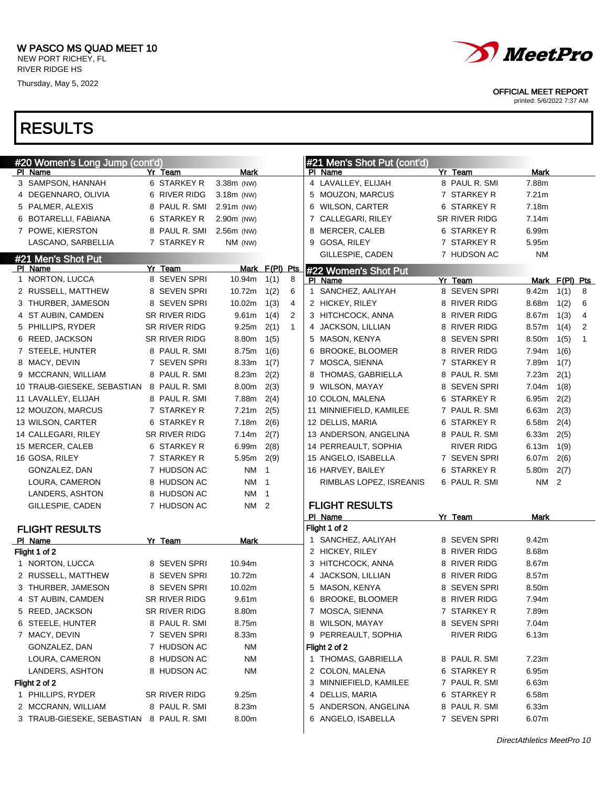

OFFICIAL MEET REPORT

printed: 5/6/2022 7:37 AM

| #20 Women's Long Jump (cont'd)                                 |               |              |                |              | #21 Men's Shot Put (cont'd)                |                               |                |                |              |
|----------------------------------------------------------------|---------------|--------------|----------------|--------------|--------------------------------------------|-------------------------------|----------------|----------------|--------------|
| PI Name                                                        | Yr Team       | Mark         |                |              | PI Name                                    | Yr Team                       | Mark           |                |              |
| 3 SAMPSON, HANNAH                                              | 6 STARKEY R   | 3.38m (NW)   |                |              | 4 LAVALLEY, ELIJAH                         | 8 PAUL R. SMI                 | 7.88m          |                |              |
| 4 DEGENNARO, OLIVIA                                            | 6 RIVER RIDG  | $3.18m$ (NW) |                |              | 5 MOUZON, MARCUS                           | 7 STARKEY R                   | 7.21m          |                |              |
| 5 PALMER, ALEXIS                                               | 8 PAUL R. SMI | $2.91m$ (NW) |                |              | 6 WILSON, CARTER                           | 6 STARKEY R                   | 7.18m          |                |              |
| 6 BOTARELLI, FABIANA                                           | 6 STARKEY R   | 2.90m (NW)   |                |              | 7 CALLEGARI, RILEY                         | SR RIVER RIDG                 | 7.14m          |                |              |
| 7 POWE, KIERSTON                                               | 8 PAUL R. SMI | 2.56m (NW)   |                |              | 8 MERCER, CALEB                            | 6 STARKEY R                   | 6.99m          |                |              |
| LASCANO, SARBELLIA                                             | 7 STARKEY R   | NM (NW)      |                |              | 9 GOSA, RILEY                              | 7 STARKEY R                   | 5.95m          |                |              |
| #21 Men's Shot Put                                             |               |              |                |              | GILLESPIE, CADEN                           | 7 HUDSON AC                   | ΝM             |                |              |
| PI Name                                                        | Yr Team       |              | Mark F(PI) Pts |              | #22 Women's Shot Put                       |                               |                |                |              |
| 1 NORTON, LUCCA                                                | 8 SEVEN SPRI  | 10.94m       | 1(1)           | 8            | PI Name                                    | Yr Team                       |                | Mark F(PI) Pts |              |
| 2 RUSSELL, MATTHEW                                             | 8 SEVEN SPRI  | 10.72m       | 1(2)           | 6            | 1 SANCHEZ, AALIYAH                         | 8 SEVEN SPRI                  | 9.42m          | 1(1)           | 8            |
| 3 THURBER, JAMESON                                             | 8 SEVEN SPRI  | 10.02m       | 1(3)           | 4            | 2 HICKEY, RILEY                            | 8 RIVER RIDG                  | 8.68m          | 1(2)           | 6            |
| 4 ST AUBIN, CAMDEN                                             | SR RIVER RIDG | 9.61m        | 1(4)           | 2            | 3 HITCHCOCK, ANNA                          | 8 RIVER RIDG                  | 8.67m          | 1(3)           | 4            |
| 5 PHILLIPS, RYDER                                              | SR RIVER RIDG | 9.25m        | 2(1)           | $\mathbf{1}$ | 4 JACKSON, LILLIAN                         | 8 RIVER RIDG                  | 8.57m          | 1(4)           | 2            |
| 6 REED, JACKSON                                                | SR RIVER RIDG | 8.80m        | 1(5)           |              | 5 MASON, KENYA                             | 8 SEVEN SPRI                  | 8.50m          | 1(5)           | $\mathbf{1}$ |
| 7 STEELE, HUNTER                                               | 8 PAUL R. SMI | 8.75m        | 1(6)           |              | 6 BROOKE, BLOOMER                          | 8 RIVER RIDG                  | 7.94m          | 1(6)           |              |
| 8 MACY, DEVIN                                                  | 7 SEVEN SPRI  | 8.33m        | 1(7)           |              | 7 MOSCA, SIENNA                            | 7 STARKEY R                   | 7.89m          | 1(7)           |              |
| 9 MCCRANN, WILLIAM                                             | 8 PAUL R. SMI | 8.23m        | 2(2)           |              | 8 THOMAS, GABRIELLA                        | 8 PAUL R. SMI                 | 7.23m          | 2(1)           |              |
| 10 TRAUB-GIESEKE, SEBASTIAN                                    | 8 PAUL R. SMI | 8.00m        | 2(3)           |              | 9 WILSON, MAYAY                            | 8 SEVEN SPRI                  | 7.04m          | 1(8)           |              |
| 11 LAVALLEY, ELIJAH                                            | 8 PAUL R. SMI | 7.88m        | 2(4)           |              | 10 COLON, MALENA                           | 6 STARKEY R                   | 6.95m          | 2(2)           |              |
| 12 MOUZON, MARCUS                                              | 7 STARKEY R   | 7.21m        | 2(5)           |              | 11 MINNIEFIELD, KAMILEE                    | 7 PAUL R. SMI                 | 6.63m          | 2(3)           |              |
| 13 WILSON, CARTER                                              | 6 STARKEY R   | 7.18m        | 2(6)           |              | 12 DELLIS, MARIA                           | 6 STARKEY R                   | 6.58m          | 2(4)           |              |
| 14 CALLEGARI, RILEY                                            | SR RIVER RIDG | 7.14m        | 2(7)           |              | 13 ANDERSON, ANGELINA                      | 8 PAUL R. SMI                 | 6.33m          | 2(5)           |              |
| 15 MERCER, CALEB                                               | 6 STARKEY R   | 6.99m        | 2(8)           |              | 14 PERREAULT, SOPHIA                       | RIVER RIDG                    | 6.13m          | 1(9)           |              |
| 16 GOSA, RILEY                                                 | 7 STARKEY R   | 5.95m        | 2(9)           |              | 15 ANGELO, ISABELLA                        | 7 SEVEN SPRI                  | 6.07m          | 2(6)           |              |
| GONZALEZ, DAN                                                  | 7 HUDSON AC   | NM.          | $\overline{1}$ |              | 16 HARVEY, BAILEY                          | 6 STARKEY R                   | 5.80m          | 2(7)           |              |
| LOURA, CAMERON                                                 | 8 HUDSON AC   | NM 1         |                |              | RIMBLAS LOPEZ, ISREANIS                    | 6 PAUL R. SMI                 | NM 2           |                |              |
| LANDERS, ASHTON                                                | 8 HUDSON AC   | NM 1         |                |              |                                            |                               |                |                |              |
| GILLESPIE, CADEN                                               | 7 HUDSON AC   | NM 2         |                |              | <b>FLIGHT RESULTS</b>                      |                               |                |                |              |
|                                                                |               |              |                |              | PI Name                                    | Yr Team                       | Mark           |                |              |
| <b>FLIGHT RESULTS</b>                                          |               |              |                |              | Flight 1 of 2                              |                               |                |                |              |
| PI Name                                                        | Yr Team       | <b>Mark</b>  |                |              | 1 SANCHEZ, AALIYAH                         | 8 SEVEN SPRI                  | 9.42m          |                |              |
| Flight 1 of 2                                                  |               |              |                |              | 2 HICKEY, RILEY                            | 8 RIVER RIDG                  | 8.68m          |                |              |
| 1 NORTON, LUCCA                                                | 8 SEVEN SPRI  | 10.94m       |                |              | 3 HITCHCOCK, ANNA                          | 8 RIVER RIDG                  | 8.67m          |                |              |
| 2 RUSSELL, MATTHEW                                             | 8 SEVEN SPRI  | 10.72m       |                |              | 4 JACKSON, LILLIAN                         | 8 RIVER RIDG                  | 8.57m          |                |              |
| 3 THURBER, JAMESON                                             | 8 SEVEN SPRI  | 10.02m       |                |              | 5 MASON, KENYA                             | 8 SEVEN SPRI                  | 8.50m          |                |              |
| 4 ST AUBIN, CAMDEN                                             | SR RIVER RIDG | 9.61m        |                |              | 6 BROOKE, BLOOMER                          | 8 RIVER RIDG                  | 7.94m          |                |              |
| 5 REED, JACKSON                                                | SR RIVER RIDG | 8.80m        |                |              | 7 MOSCA, SIENNA                            | 7 STARKEY R                   | 7.89m          |                |              |
| 6 STEELE, HUNTER                                               | 8 PAUL R. SMI | 8.75m        |                |              | 8 WILSON, MAYAY                            | 8 SEVEN SPRI                  | 7.04m          |                |              |
| 7 MACY, DEVIN                                                  | 7 SEVEN SPRI  | 8.33m        |                |              | 9 PERREAULT, SOPHIA                        | RIVER RIDG                    | 6.13m          |                |              |
| GONZALEZ, DAN                                                  | 7 HUDSON AC   | NM           |                |              | Flight 2 of 2                              |                               |                |                |              |
| LOURA, CAMERON                                                 | 8 HUDSON AC   | NM           |                |              | 1 THOMAS, GABRIELLA                        | 8 PAUL R. SMI                 | 7.23m          |                |              |
| <b>LANDERS, ASHTON</b>                                         | 8 HUDSON AC   | NM           |                |              | 2 COLON, MALENA                            | 6 STARKEY R                   | 6.95m          |                |              |
| Flight 2 of 2                                                  |               |              |                |              | 3 MINNIEFIELD, KAMILEE                     | 7 PAUL R. SMI                 | 6.63m          |                |              |
| 1 PHILLIPS, RYDER                                              | SR RIVER RIDG | 9.25m        |                |              | 4 DELLIS, MARIA                            | 6 STARKEY R                   | 6.58m          |                |              |
|                                                                | 8 PAUL R. SMI | 8.23m        |                |              |                                            |                               |                |                |              |
| 2 MCCRANN, WILLIAM<br>3 TRAUB-GIESEKE, SEBASTIAN 8 PAUL R. SMI |               | 8.00m        |                |              | 5 ANDERSON, ANGELINA<br>6 ANGELO, ISABELLA | 8 PAUL R. SMI<br>7 SEVEN SPRI | 6.33m<br>6.07m |                |              |
|                                                                |               |              |                |              |                                            |                               |                |                |              |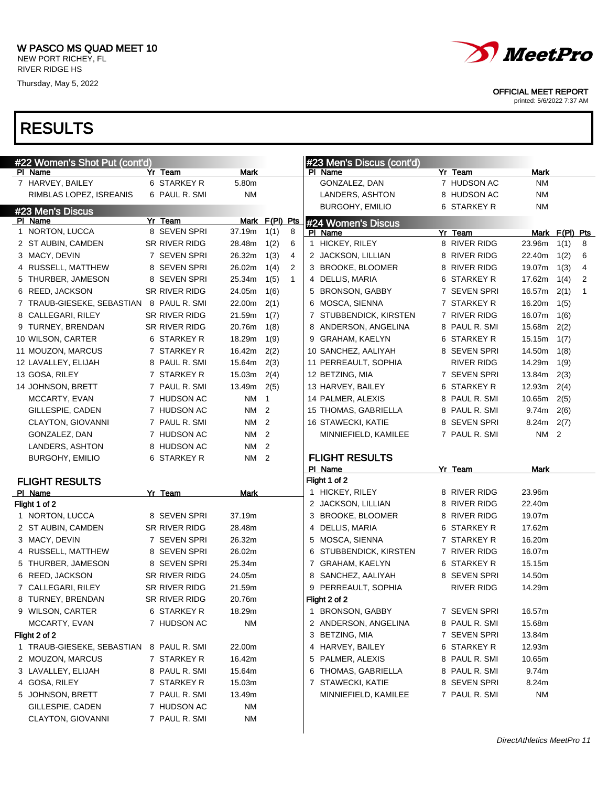

#23 Men's Discus<br>PL Name

FLIGHT RESULTS

Flight 1 of 2



5 PALMER, ALEXIS 8 PAUL R. SMI 10.65m 6 THOMAS, GABRIELLA 8 PAUL R. SMI 9.74m 7 STAWECKI, KATIE 8 SEVEN SPRI 8.24m MINNIEFIELD, KAMILEE 7 PAUL R. SMI NM

| Flight 2 of 2                            |               |           |
|------------------------------------------|---------------|-----------|
| 1 TRAUB-GIESEKE, SEBASTIAN 8 PAUL R, SMI |               | 22.00m    |
| 2 MOUZON, MARCUS                         | 7 STARKEY R   | 16.42m    |
| 3 LAVALLEY, ELIJAH                       | 8 PAUL R. SMI | 15.64m    |
| 4 GOSA, RILEY                            | 7 STARKEY R   | 15.03m    |
| 5 JOHNSON, BRETT                         | 7 PAUL R. SMI | 13.49m    |
| GILLESPIE. CADEN                         | 7 HUDSON AC   | <b>NM</b> |
| <b>CLAYTON, GIOVANNI</b>                 | 7 PAUL R. SMI | <b>NM</b> |



OFFICIAL MEET REPORT